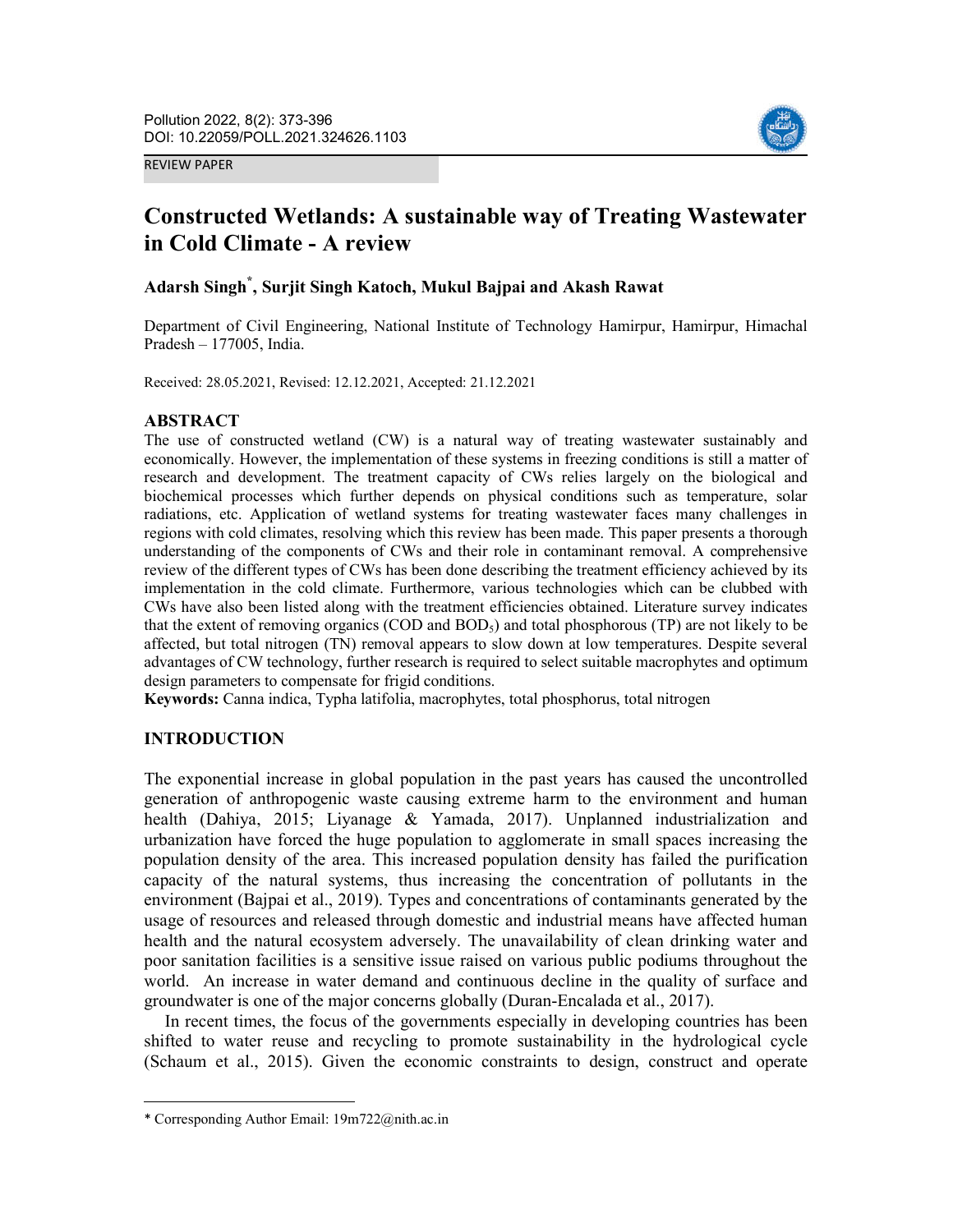#### REVIEW PAPER



# **Constructed Wetlands: A sustainable way of Treating Wastewater in Cold Climate - A review**

# **Adarsh Singh\* , Surjit Singh Katoch, Mukul Bajpai and Akash Rawat**

Department of Civil Engineering, National Institute of Technology Hamirpur, Hamirpur, Himachal Pradesh – 177005, India.

Received: 28.05.2021, Revised: 12.12.2021, Accepted: 21.12.2021

#### **ABSTRACT**

The use of constructed wetland (CW) is a natural way of treating wastewater sustainably and economically. However, the implementation of these systems in freezing conditions is still a matter of research and development. The treatment capacity of CWs relies largely on the biological and biochemical processes which further depends on physical conditions such as temperature, solar radiations, etc. Application of wetland systems for treating wastewater faces many challenges in regions with cold climates, resolving which this review has been made. This paper presents a thorough understanding of the components of CWs and their role in contaminant removal. A comprehensive review of the different types of CWs has been done describing the treatment efficiency achieved by its implementation in the cold climate. Furthermore, various technologies which can be clubbed with CWs have also been listed along with the treatment efficiencies obtained. Literature survey indicates that the extent of removing organics (COD and BOD5) and total phosphorous (TP) are not likely to be affected, but total nitrogen (TN) removal appears to slow down at low temperatures. Despite several advantages of CW technology, further research is required to select suitable macrophytes and optimum design parameters to compensate for frigid conditions.

**Keywords:** Canna indica, Typha latifolia, macrophytes, total phosphorus, total nitrogen

### **INTRODUCTION**

 $\overline{a}$ 

The exponential increase in global population in the past years has caused the uncontrolled generation of anthropogenic waste causing extreme harm to the environment and human health (Dahiya, 2015; Liyanage & Yamada, 2017). Unplanned industrialization and urbanization have forced the huge population to agglomerate in small spaces increasing the population density of the area. This increased population density has failed the purification capacity of the natural systems, thus increasing the concentration of pollutants in the environment (Bajpai et al., 2019). Types and concentrations of contaminants generated by the usage of resources and released through domestic and industrial means have affected human health and the natural ecosystem adversely. The unavailability of clean drinking water and poor sanitation facilities is a sensitive issue raised on various public podiums throughout the world. An increase in water demand and continuous decline in the quality of surface and groundwater is one of the major concerns globally (Duran-Encalada et al., 2017).

In recent times, the focus of the governments especially in developing countries has been shifted to water reuse and recycling to promote sustainability in the hydrological cycle (Schaum et al., 2015). Given the economic constraints to design, construct and operate

<sup>\*</sup> Corresponding Author Email: 19m722@nith.ac.in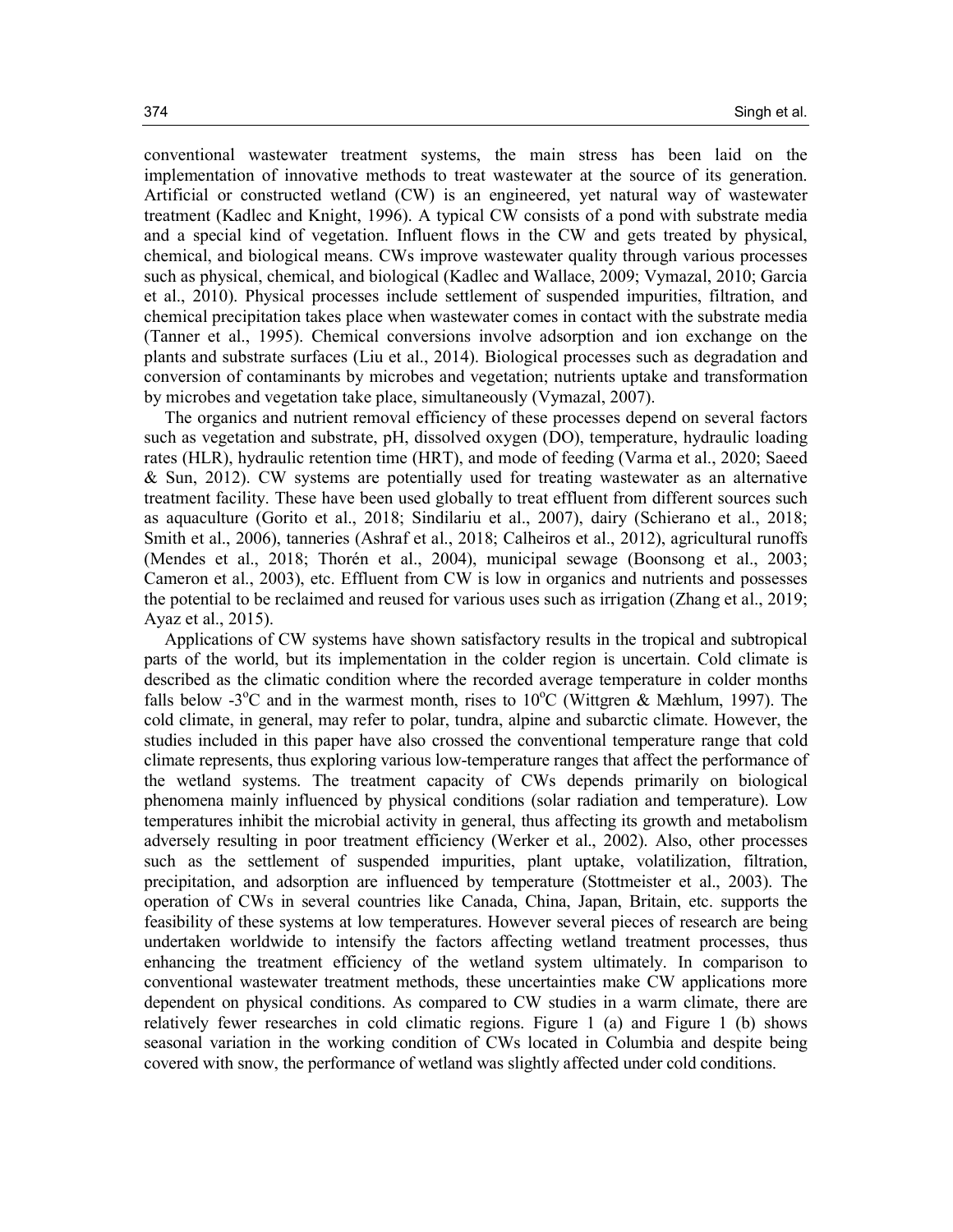conventional wastewater treatment systems, the main stress has been laid on the implementation of innovative methods to treat wastewater at the source of its generation. Artificial or constructed wetland (CW) is an engineered, yet natural way of wastewater treatment (Kadlec and Knight, 1996). A typical CW consists of a pond with substrate media and a special kind of vegetation. Influent flows in the CW and gets treated by physical, chemical, and biological means. CWs improve wastewater quality through various processes such as physical, chemical, and biological (Kadlec and Wallace, 2009; Vymazal, 2010; Garcia et al., 2010). Physical processes include settlement of suspended impurities, filtration, and chemical precipitation takes place when wastewater comes in contact with the substrate media (Tanner et al., 1995). Chemical conversions involve adsorption and ion exchange on the plants and substrate surfaces (Liu et al., 2014). Biological processes such as degradation and conversion of contaminants by microbes and vegetation; nutrients uptake and transformation by microbes and vegetation take place, simultaneously (Vymazal, 2007).

The organics and nutrient removal efficiency of these processes depend on several factors such as vegetation and substrate, pH, dissolved oxygen (DO), temperature, hydraulic loading rates (HLR), hydraulic retention time (HRT), and mode of feeding (Varma et al., 2020; Saeed & Sun, 2012). CW systems are potentially used for treating wastewater as an alternative treatment facility. These have been used globally to treat effluent from different sources such as aquaculture (Gorito et al., 2018; Sindilariu et al., 2007), dairy (Schierano et al., 2018; Smith et al., 2006), tanneries (Ashraf et al., 2018; Calheiros et al., 2012), agricultural runoffs (Mendes et al., 2018; Thorén et al., 2004), municipal sewage (Boonsong et al., 2003; Cameron et al., 2003), etc. Effluent from CW is low in organics and nutrients and possesses the potential to be reclaimed and reused for various uses such as irrigation (Zhang et al., 2019; Ayaz et al., 2015).

Applications of CW systems have shown satisfactory results in the tropical and subtropical parts of the world, but its implementation in the colder region is uncertain. Cold climate is described as the climatic condition where the recorded average temperature in colder months falls below -3<sup>o</sup>C and in the warmest month, rises to  $10^{\circ}$ C (Wittgren & Mæhlum, 1997). The cold climate, in general, may refer to polar, tundra, alpine and subarctic climate. However, the studies included in this paper have also crossed the conventional temperature range that cold climate represents, thus exploring various low-temperature ranges that affect the performance of the wetland systems. The treatment capacity of CWs depends primarily on biological phenomena mainly influenced by physical conditions (solar radiation and temperature). Low temperatures inhibit the microbial activity in general, thus affecting its growth and metabolism adversely resulting in poor treatment efficiency (Werker et al., 2002). Also, other processes such as the settlement of suspended impurities, plant uptake, volatilization, filtration, precipitation, and adsorption are influenced by temperature (Stottmeister et al., 2003). The operation of CWs in several countries like Canada, China, Japan, Britain, etc. supports the feasibility of these systems at low temperatures. However several pieces of research are being undertaken worldwide to intensify the factors affecting wetland treatment processes, thus enhancing the treatment efficiency of the wetland system ultimately. In comparison to conventional wastewater treatment methods, these uncertainties make CW applications more dependent on physical conditions. As compared to CW studies in a warm climate, there are relatively fewer researches in cold climatic regions. Figure 1 (a) and Figure 1 (b) shows seasonal variation in the working condition of CWs located in Columbia and despite being covered with snow, the performance of wetland was slightly affected under cold conditions.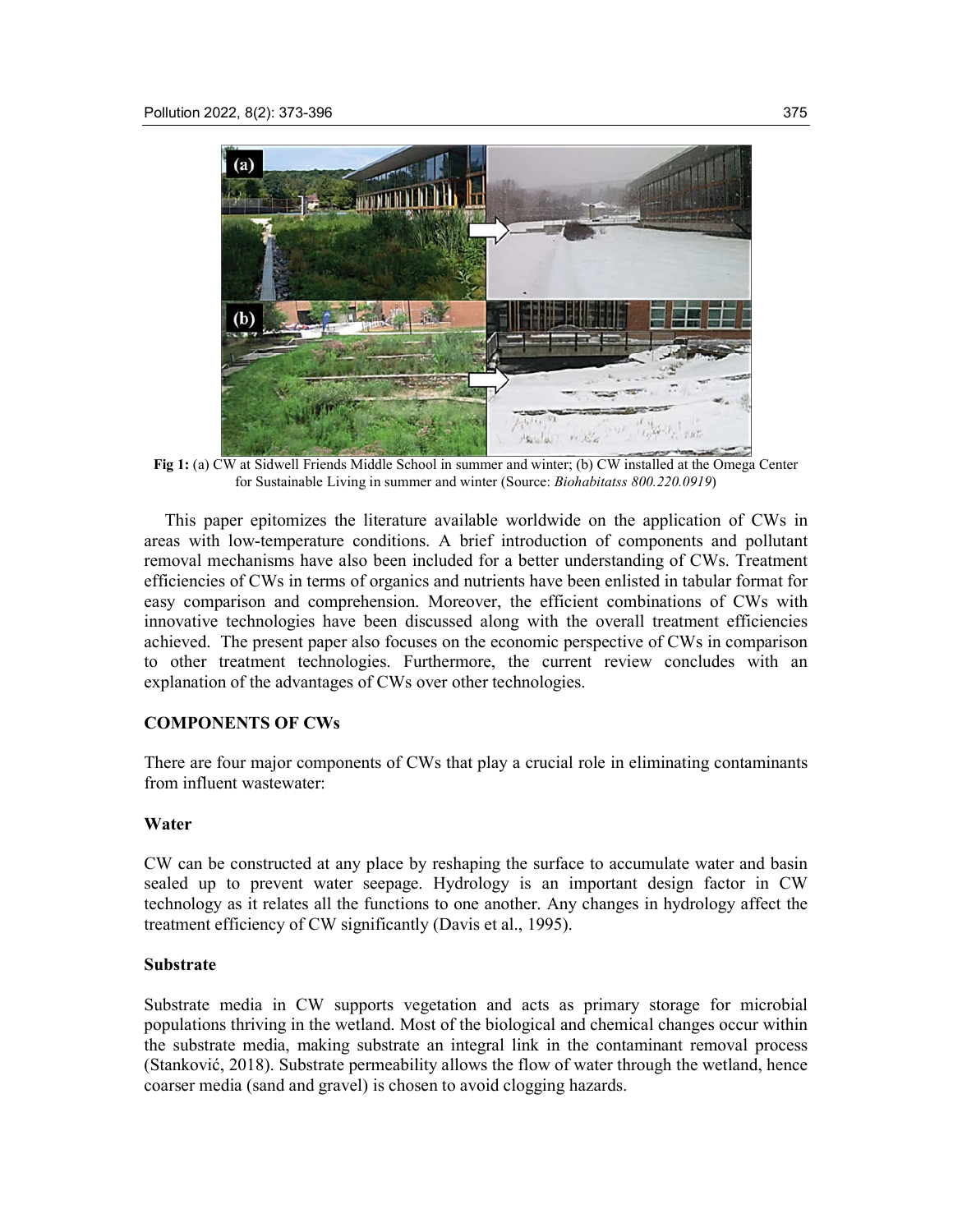

**Fig 1:** (a) CW at Sidwell Friends Middle School in summer and winter; (b) CW installed at the Omega Center for Sustainable Living in summer and winter (Source: *Biohabitatss 800.220.0919*)

This paper epitomizes the literature available worldwide on the application of CWs in areas with low-temperature conditions. A brief introduction of components and pollutant removal mechanisms have also been included for a better understanding of CWs. Treatment efficiencies of CWs in terms of organics and nutrients have been enlisted in tabular format for easy comparison and comprehension. Moreover, the efficient combinations of CWs with innovative technologies have been discussed along with the overall treatment efficiencies achieved. The present paper also focuses on the economic perspective of CWs in comparison to other treatment technologies. Furthermore, the current review concludes with an explanation of the advantages of CWs over other technologies.

# **COMPONENTS OF CWs**

There are four major components of CWs that play a crucial role in eliminating contaminants from influent wastewater:

# **Water**

CW can be constructed at any place by reshaping the surface to accumulate water and basin sealed up to prevent water seepage. Hydrology is an important design factor in CW technology as it relates all the functions to one another. Any changes in hydrology affect the treatment efficiency of CW significantly (Davis et al., 1995).

# **Substrate**

Substrate media in CW supports vegetation and acts as primary storage for microbial populations thriving in the wetland. Most of the biological and chemical changes occur within the substrate media, making substrate an integral link in the contaminant removal process (Stanković, 2018). Substrate permeability allows the flow of water through the wetland, hence coarser media (sand and gravel) is chosen to avoid clogging hazards.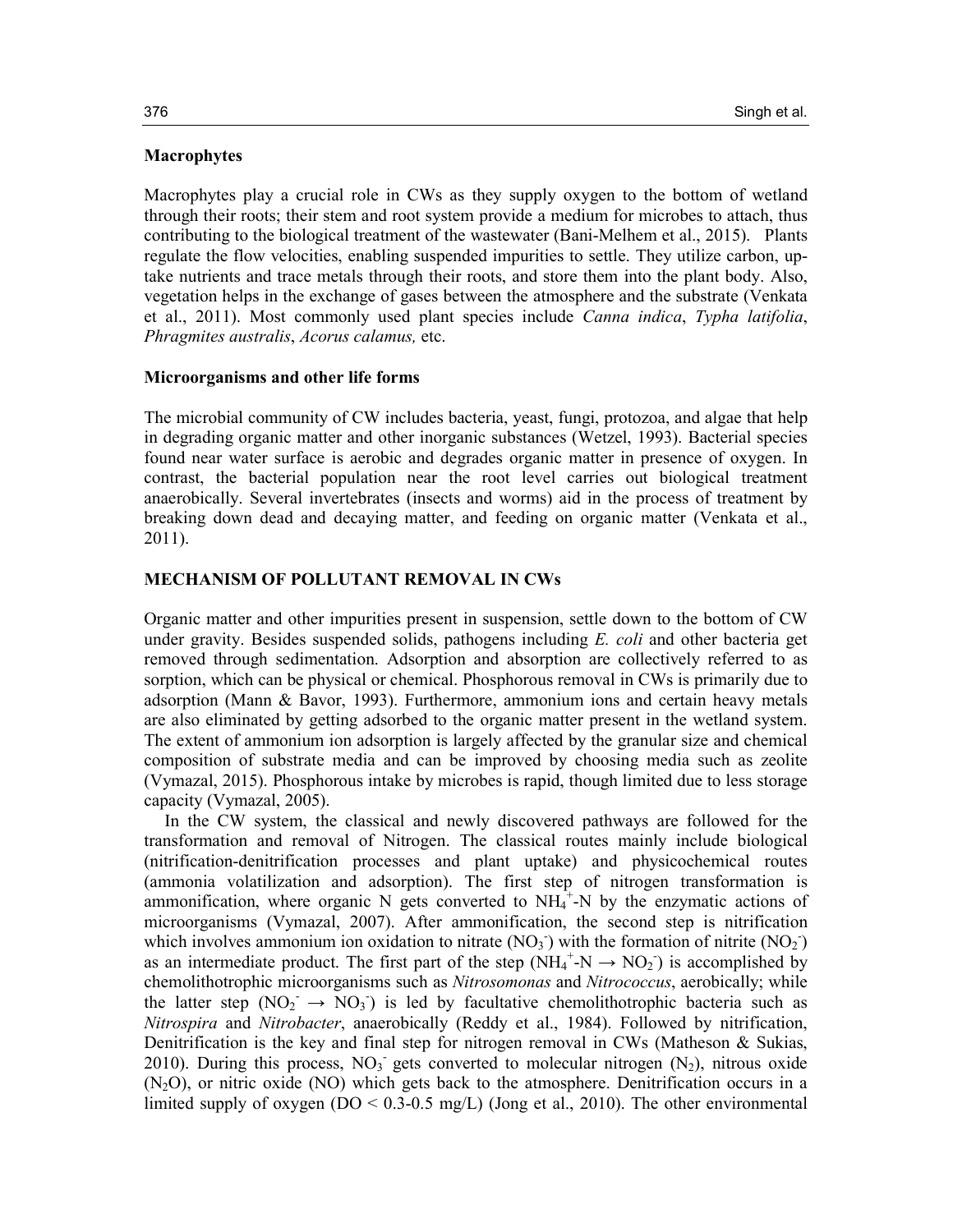### **Macrophytes**

Macrophytes play a crucial role in CWs as they supply oxygen to the bottom of wetland through their roots; their stem and root system provide a medium for microbes to attach, thus contributing to the biological treatment of the wastewater (Bani-Melhem et al., 2015). Plants regulate the flow velocities, enabling suspended impurities to settle. They utilize carbon, uptake nutrients and trace metals through their roots, and store them into the plant body. Also, vegetation helps in the exchange of gases between the atmosphere and the substrate (Venkata et al., 2011). Most commonly used plant species include *Canna indica*, *Typha latifolia*, *Phragmites australis*, *Acorus calamus,* etc.

#### **Microorganisms and other life forms**

The microbial community of CW includes bacteria, yeast, fungi, protozoa, and algae that help in degrading organic matter and other inorganic substances (Wetzel, 1993). Bacterial species found near water surface is aerobic and degrades organic matter in presence of oxygen. In contrast, the bacterial population near the root level carries out biological treatment anaerobically. Several invertebrates (insects and worms) aid in the process of treatment by breaking down dead and decaying matter, and feeding on organic matter (Venkata et al., 2011).

### **MECHANISM OF POLLUTANT REMOVAL IN CWs**

Organic matter and other impurities present in suspension, settle down to the bottom of CW under gravity. Besides suspended solids, pathogens including *E. coli* and other bacteria get removed through sedimentation. Adsorption and absorption are collectively referred to as sorption, which can be physical or chemical. Phosphorous removal in CWs is primarily due to adsorption (Mann & Bavor, 1993). Furthermore, ammonium ions and certain heavy metals are also eliminated by getting adsorbed to the organic matter present in the wetland system. The extent of ammonium ion adsorption is largely affected by the granular size and chemical composition of substrate media and can be improved by choosing media such as zeolite (Vymazal, 2015). Phosphorous intake by microbes is rapid, though limited due to less storage capacity (Vymazal, 2005).

In the CW system, the classical and newly discovered pathways are followed for the transformation and removal of Nitrogen. The classical routes mainly include biological (nitrification-denitrification processes and plant uptake) and physicochemical routes (ammonia volatilization and adsorption). The first step of nitrogen transformation is ammonification, where organic N gets converted to  $NH_4^+$ -N by the enzymatic actions of microorganisms (Vymazal, 2007). After ammonification, the second step is nitrification which involves ammonium ion oxidation to nitrate  $(NO<sub>3</sub>)$  with the formation of nitrite  $(NO<sub>2</sub>)$ as an intermediate product. The first part of the step  $(NH_4^+$ -N  $\rightarrow NO_2)$  is accomplished by chemolithotrophic microorganisms such as *Nitrosomonas* and *Nitrococcus*, aerobically; while the latter step  $(NO_2^- \rightarrow NO_3^-)$  is led by facultative chemolithotrophic bacteria such as *Nitrospira* and *Nitrobacter*, anaerobically (Reddy et al., 1984). Followed by nitrification, Denitrification is the key and final step for nitrogen removal in CWs (Matheson & Sukias, 2010). During this process,  $NO<sub>3</sub>$  gets converted to molecular nitrogen  $(N<sub>2</sub>)$ , nitrous oxide (N2O), or nitric oxide (NO) which gets back to the atmosphere. Denitrification occurs in a limited supply of oxygen ( $DO < 0.3-0.5$  mg/L) (Jong et al., 2010). The other environmental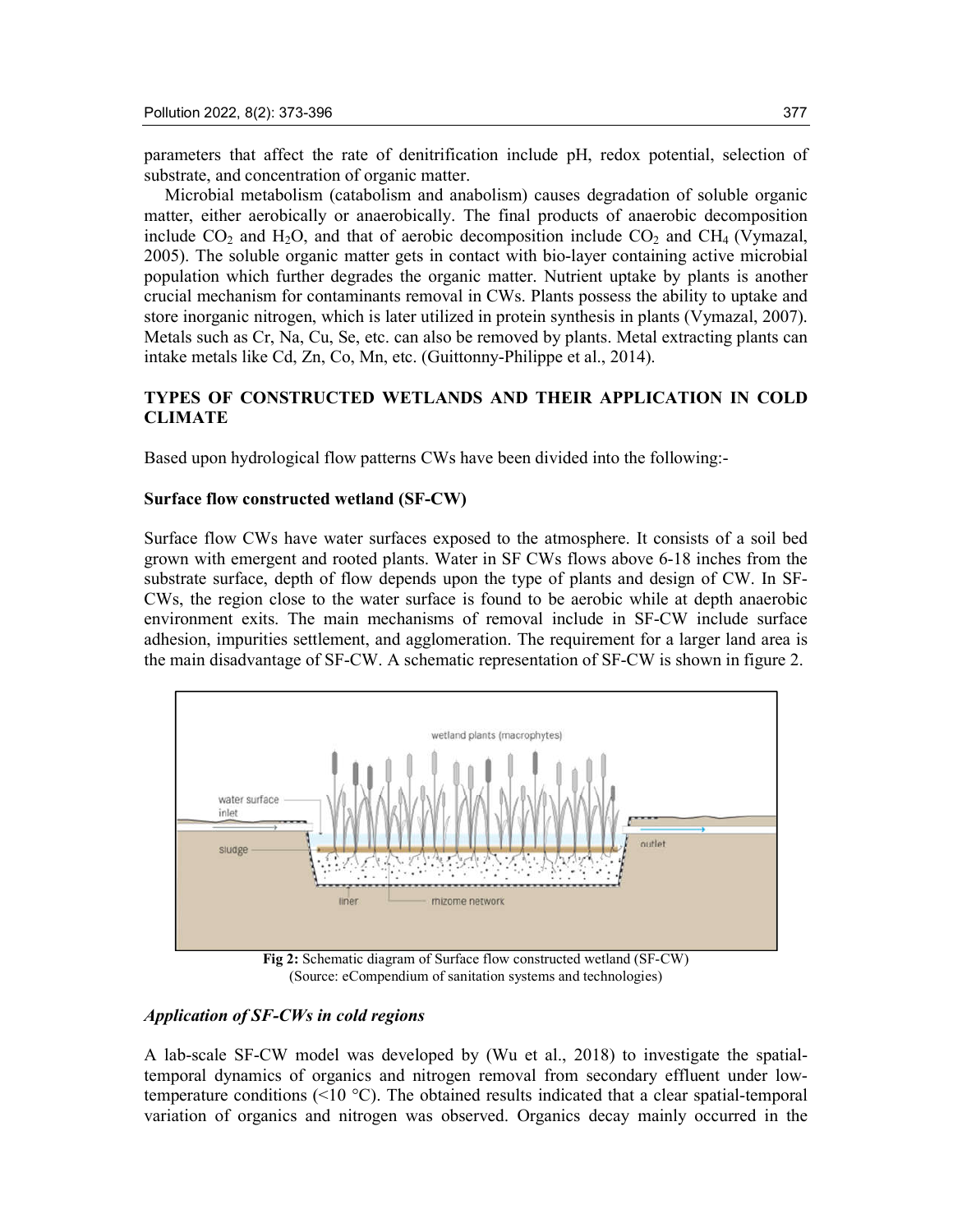parameters that affect the rate of denitrification include pH, redox potential, selection of substrate, and concentration of organic matter.

Microbial metabolism (catabolism and anabolism) causes degradation of soluble organic matter, either aerobically or anaerobically. The final products of anaerobic decomposition include  $CO_2$  and  $H_2O$ , and that of aerobic decomposition include  $CO_2$  and  $CH_4$  (Vymazal, 2005). The soluble organic matter gets in contact with bio-layer containing active microbial population which further degrades the organic matter. Nutrient uptake by plants is another crucial mechanism for contaminants removal in CWs. Plants possess the ability to uptake and store inorganic nitrogen, which is later utilized in protein synthesis in plants (Vymazal, 2007). Metals such as Cr, Na, Cu, Se, etc. can also be removed by plants. Metal extracting plants can intake metals like Cd, Zn, Co, Mn, etc. (Guittonny-Philippe et al., 2014).

# **TYPES OF CONSTRUCTED WETLANDS AND THEIR APPLICATION IN COLD CLIMATE**

Based upon hydrological flow patterns CWs have been divided into the following:-

### **Surface flow constructed wetland (SF-CW)**

Surface flow CWs have water surfaces exposed to the atmosphere. It consists of a soil bed grown with emergent and rooted plants. Water in SF CWs flows above 6-18 inches from the substrate surface, depth of flow depends upon the type of plants and design of CW. In SF-CWs, the region close to the water surface is found to be aerobic while at depth anaerobic environment exits. The main mechanisms of removal include in SF-CW include surface adhesion, impurities settlement, and agglomeration. The requirement for a larger land area is the main disadvantage of SF-CW. A schematic representation of SF-CW is shown in figure 2.



**Fig 2:** Schematic diagram of Surface flow constructed wetland (SF-CW) (Source: eCompendium of sanitation systems and technologies)

#### *Application of SF-CWs in cold regions*

A lab-scale SF-CW model was developed by (Wu et al., 2018) to investigate the spatialtemporal dynamics of organics and nitrogen removal from secondary effluent under lowtemperature conditions  $(\leq 10 \degree C)$ . The obtained results indicated that a clear spatial-temporal variation of organics and nitrogen was observed. Organics decay mainly occurred in the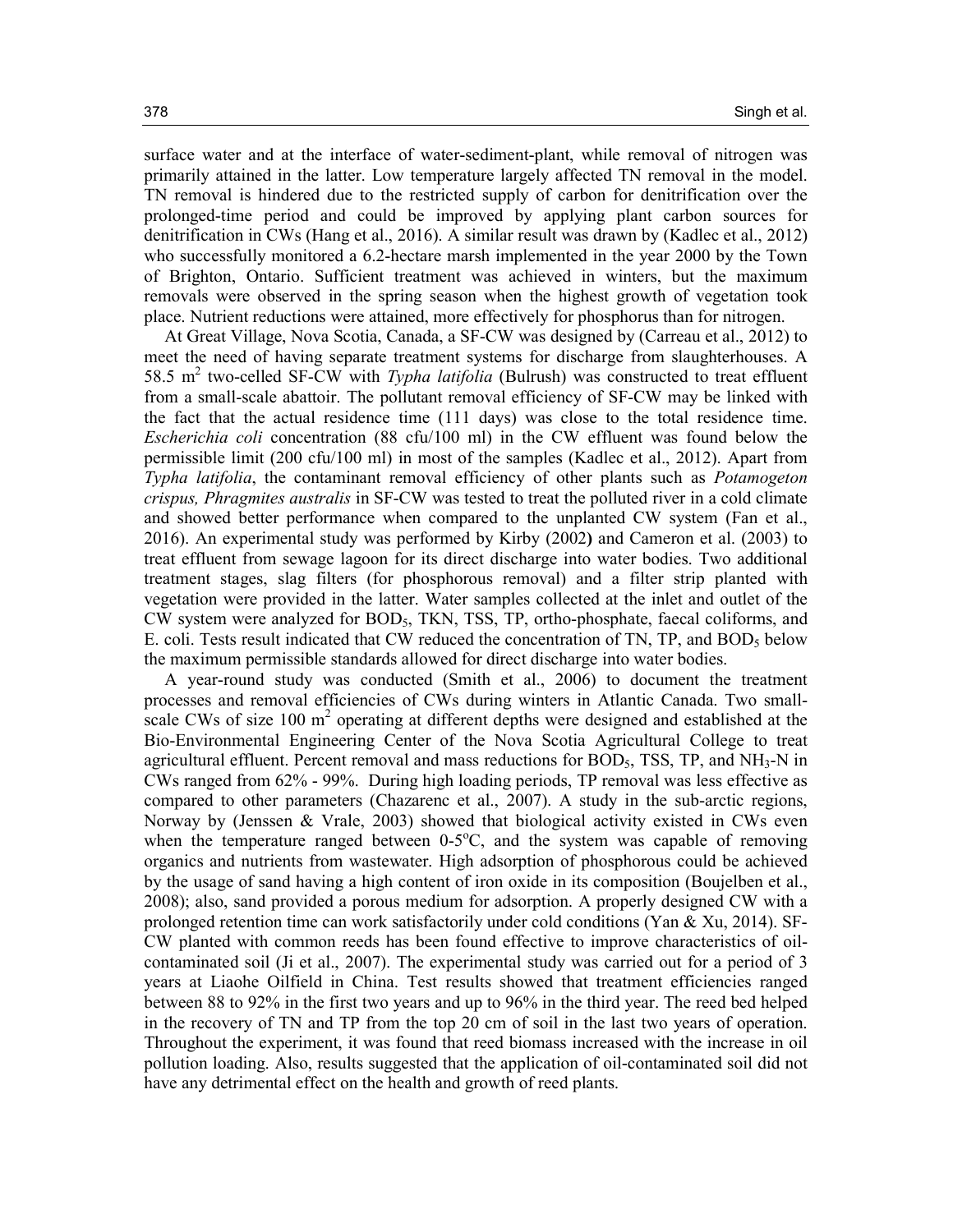surface water and at the interface of water-sediment-plant, while removal of nitrogen was primarily attained in the latter. Low temperature largely affected TN removal in the model. TN removal is hindered due to the restricted supply of carbon for denitrification over the prolonged-time period and could be improved by applying plant carbon sources for denitrification in CWs (Hang et al., 2016). A similar result was drawn by (Kadlec et al., 2012) who successfully monitored a 6.2-hectare marsh implemented in the year 2000 by the Town of Brighton, Ontario. Sufficient treatment was achieved in winters, but the maximum removals were observed in the spring season when the highest growth of vegetation took place. Nutrient reductions were attained, more effectively for phosphorus than for nitrogen.

At Great Village, Nova Scotia, Canada, a SF-CW was designed by (Carreau et al., 2012) to meet the need of having separate treatment systems for discharge from slaughterhouses. A 58.5 m2 two-celled SF-CW with *Typha latifolia* (Bulrush) was constructed to treat effluent from a small-scale abattoir. The pollutant removal efficiency of SF-CW may be linked with the fact that the actual residence time (111 days) was close to the total residence time. *Escherichia coli* concentration (88 cfu/100 ml) in the CW effluent was found below the permissible limit (200 cfu/100 ml) in most of the samples (Kadlec et al., 2012). Apart from *Typha latifolia*, the contaminant removal efficiency of other plants such as *Potamogeton crispus, Phragmites australis* in SF-CW was tested to treat the polluted river in a cold climate and showed better performance when compared to the unplanted CW system (Fan et al., 2016). An experimental study was performed by Kirby (2002**)** and Cameron et al. (2003) to treat effluent from sewage lagoon for its direct discharge into water bodies. Two additional treatment stages, slag filters (for phosphorous removal) and a filter strip planted with vegetation were provided in the latter. Water samples collected at the inlet and outlet of the CW system were analyzed for BOD5, TKN, TSS, TP, ortho-phosphate, faecal coliforms, and E. coli. Tests result indicated that CW reduced the concentration of TN, TP, and BOD5 below the maximum permissible standards allowed for direct discharge into water bodies.

A year-round study was conducted (Smith et al., 2006) to document the treatment processes and removal efficiencies of CWs during winters in Atlantic Canada. Two smallscale CWs of size  $100 \text{ m}^2$  operating at different depths were designed and established at the Bio-Environmental Engineering Center of the Nova Scotia Agricultural College to treat agricultural effluent. Percent removal and mass reductions for  $BOD<sub>5</sub>$ , TSS, TP, and NH<sub>3</sub>-N in CWs ranged from 62% - 99%. During high loading periods, TP removal was less effective as compared to other parameters (Chazarenc et al., 2007). A study in the sub-arctic regions, Norway by (Jenssen & Vrale, 2003) showed that biological activity existed in CWs even when the temperature ranged between  $0-5\degree C$ , and the system was capable of removing organics and nutrients from wastewater. High adsorption of phosphorous could be achieved by the usage of sand having a high content of iron oxide in its composition (Boujelben et al., 2008); also, sand provided a porous medium for adsorption. A properly designed CW with a prolonged retention time can work satisfactorily under cold conditions (Yan & Xu, 2014). SF-CW planted with common reeds has been found effective to improve characteristics of oilcontaminated soil (Ji et al., 2007). The experimental study was carried out for a period of 3 years at Liaohe Oilfield in China. Test results showed that treatment efficiencies ranged between 88 to 92% in the first two years and up to 96% in the third year. The reed bed helped in the recovery of TN and TP from the top 20 cm of soil in the last two years of operation. Throughout the experiment, it was found that reed biomass increased with the increase in oil pollution loading. Also, results suggested that the application of oil-contaminated soil did not have any detrimental effect on the health and growth of reed plants.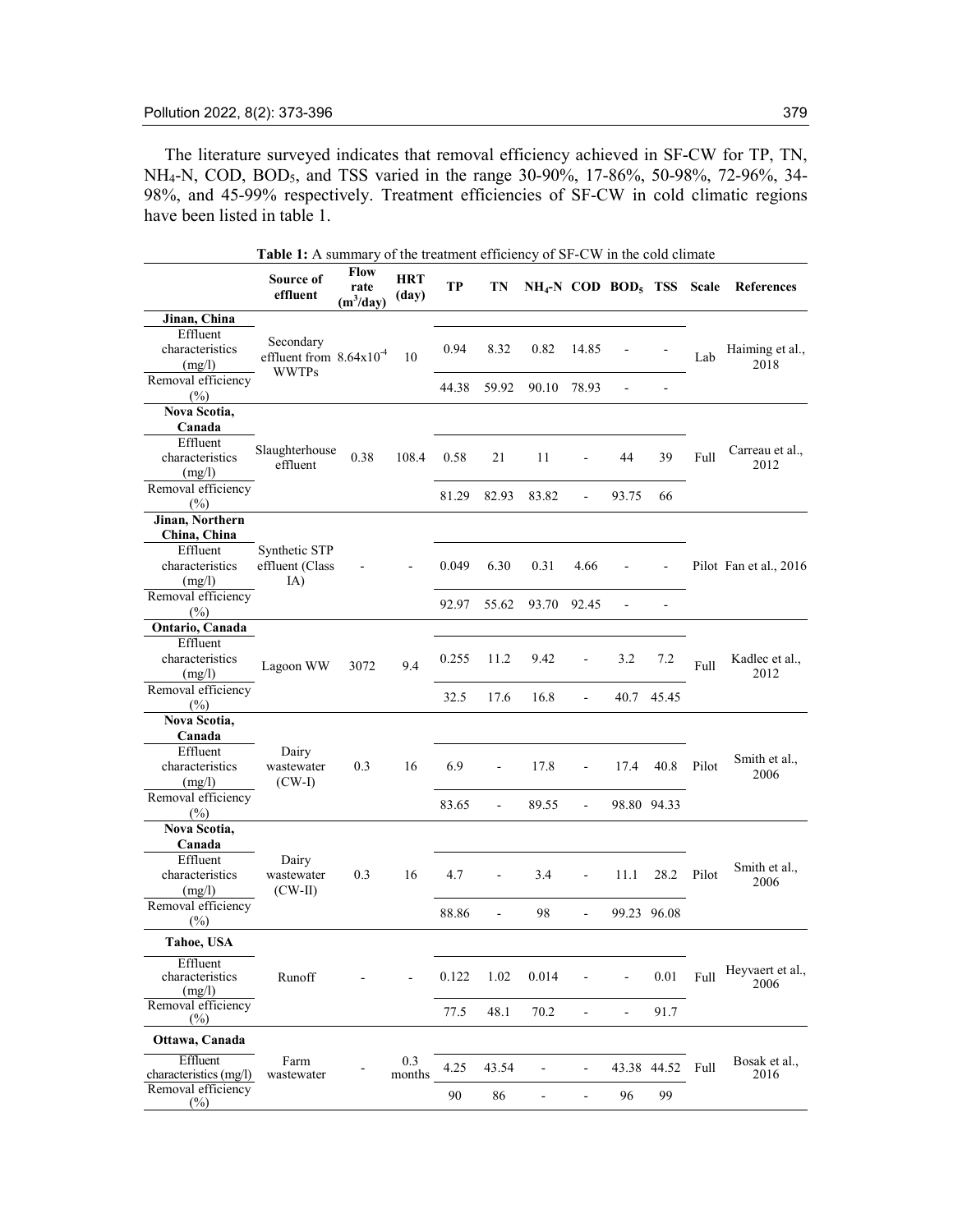The literature surveyed indicates that removal efficiency achieved in SF-CW for TP, TN, NH<sub>4</sub>-N, COD, BOD<sub>5</sub>, and TSS varied in the range 30-90%, 17-86%, 50-98%, 72-96%, 34-98%, and 45-99% respectively. Treatment efficiencies of SF-CW in cold climatic regions have been listed in table 1.

|                              |                                     | Flow                |                     |       |                          |                                          |                |                |                  |                       |                        |
|------------------------------|-------------------------------------|---------------------|---------------------|-------|--------------------------|------------------------------------------|----------------|----------------|------------------|-----------------------|------------------------|
|                              | Source of<br>effluent               | rate<br>$(m^3/day)$ | <b>HRT</b><br>(day) | TP    | TN                       | $NH_4$ -N COD BOD <sub>5</sub> TSS Scale |                |                |                  |                       | References             |
| Jinan, China                 |                                     |                     |                     |       |                          |                                          |                |                |                  |                       |                        |
| Effluent                     | Secondary                           |                     |                     |       |                          |                                          |                |                |                  |                       |                        |
| characteristics              | effluent from $8.64 \times 10^{-4}$ |                     | 10                  | 0.94  | 8.32                     | 0.82                                     | 14.85          |                |                  | Lab                   | Haiming et al.,        |
| (mg/l)                       | <b>WWTPs</b>                        |                     |                     |       |                          |                                          |                |                |                  |                       | 2018                   |
| Removal efficiency<br>$(\%)$ |                                     |                     |                     | 44.38 | 59.92                    | 90.10                                    | 78.93          |                |                  |                       |                        |
| Nova Scotia,                 |                                     |                     |                     |       |                          |                                          |                |                |                  |                       |                        |
| Canada                       |                                     |                     |                     |       |                          |                                          |                |                |                  |                       |                        |
| Effluent                     | Slaughterhouse                      |                     |                     |       |                          |                                          |                |                |                  |                       | Carreau et al.,        |
| characteristics              | effluent                            | 0.38                | 108.4               | 0.58  | 21                       | 11                                       |                | 44             | 39               | Full                  | 2012                   |
| (mg/l)                       |                                     |                     |                     |       |                          |                                          |                |                |                  |                       |                        |
| Removal efficiency           |                                     |                     |                     | 81.29 | 82.93                    | 83.82                                    | $\blacksquare$ | 93.75          | 66               |                       |                        |
| $(\%)$                       |                                     |                     |                     |       |                          |                                          |                |                |                  |                       |                        |
| Jinan, Northern              |                                     |                     |                     |       |                          |                                          |                |                |                  |                       |                        |
| China, China                 |                                     |                     |                     |       |                          |                                          |                |                |                  |                       |                        |
| Effluent                     | Synthetic STP                       |                     |                     |       |                          |                                          |                |                |                  |                       |                        |
| characteristics              | effluent (Class                     |                     |                     | 0.049 | 6.30                     | 0.31                                     | 4.66           |                |                  |                       | Pilot Fan et al., 2016 |
| (mg/l)                       | IA)                                 |                     |                     |       |                          |                                          |                |                |                  |                       |                        |
| Removal efficiency           |                                     |                     |                     | 92.97 | 55.62                    | 93.70                                    | 92.45          |                |                  |                       |                        |
| $(\% )$                      |                                     |                     |                     |       |                          |                                          |                |                |                  |                       |                        |
| Ontario, Canada              |                                     |                     |                     |       |                          |                                          |                |                |                  |                       |                        |
| Effluent                     |                                     |                     |                     |       |                          |                                          |                |                |                  |                       |                        |
| characteristics              | Lagoon WW                           | 3072                | 9.4                 | 0.255 | 11.2                     | 9.42                                     |                | 3.2            | 7.2              | Full                  | Kadlec et al.,         |
| (mg/l)                       |                                     |                     |                     |       |                          |                                          |                |                |                  |                       | 2012                   |
| Removal efficiency           |                                     |                     |                     | 32.5  | 17.6                     | 16.8                                     | $\blacksquare$ |                | 40.7 45.45       |                       |                        |
| $(\%)$                       |                                     |                     |                     |       |                          |                                          |                |                |                  |                       |                        |
| Nova Scotia,                 |                                     |                     |                     |       |                          |                                          |                |                |                  |                       |                        |
| Canada                       |                                     |                     |                     |       |                          |                                          |                |                |                  |                       |                        |
| Effluent                     | Dairy                               |                     |                     |       |                          |                                          |                |                |                  |                       | Smith et al.,          |
| characteristics              | wastewater                          | 0.3                 | 16                  | 6.9   | $\blacksquare$           | 17.8                                     | $\blacksquare$ | 17.4           | 40.8             | Pilot                 | 2006                   |
| (mg/l)                       | $(CW-I)$                            |                     |                     |       |                          |                                          |                |                |                  |                       |                        |
| Removal efficiency           |                                     |                     |                     | 83.65 | $\overline{\phantom{a}}$ | 89.55                                    | $\blacksquare$ |                | 98.80 94.33      |                       |                        |
| $(\%)$                       |                                     |                     |                     |       |                          |                                          |                |                |                  |                       |                        |
| Nova Scotia,                 |                                     |                     |                     |       |                          |                                          |                |                |                  |                       |                        |
| Canada                       |                                     |                     |                     |       |                          |                                          |                |                |                  |                       |                        |
| Effluent                     | Dairy                               |                     |                     |       |                          |                                          |                |                |                  |                       | Smith et al.,          |
| characteristics              | wastewater                          | 0.3                 | 16                  | 4.7   | $\blacksquare$           | 3.4                                      | ÷              | 11.1           | 28.2             | Pilot                 | 2006                   |
| (mg/l)                       | $(CW-II)$                           |                     |                     |       |                          |                                          |                |                |                  |                       |                        |
| Removal efficiency           |                                     |                     |                     | 88.86 | $\blacksquare$           | 98                                       |                |                | 99.23 96.08      |                       |                        |
| (%)                          |                                     |                     |                     |       |                          |                                          |                |                |                  |                       |                        |
| Tahoe, USA                   |                                     |                     |                     |       |                          |                                          |                |                |                  |                       |                        |
| Effluent                     |                                     |                     |                     |       |                          |                                          |                |                |                  |                       | Heyvaert et al.,       |
| characteristics              | Runoff                              |                     | $\frac{1}{2}$       | 0.122 | 1.02                     | 0.014                                    |                | $\blacksquare$ | $0.01\,$         | $\operatorname{Full}$ | 2006                   |
| (mg/l)                       |                                     |                     |                     |       |                          |                                          |                |                |                  |                       |                        |
| Removal efficiency           |                                     |                     |                     | 77.5  | 48.1                     | 70.2                                     | $\frac{1}{2}$  | $\Box$         | 91.7             |                       |                        |
| $(\%)$                       |                                     |                     |                     |       |                          |                                          |                |                |                  |                       |                        |
| Ottawa, Canada               |                                     |                     |                     |       |                          |                                          |                |                |                  |                       |                        |
| Effluent                     | Farm                                |                     | 0.3                 | 4.25  | 43.54                    |                                          | $\overline{a}$ |                | 43.38 44.52 Full |                       | Bosak et al.,          |
| characteristics (mg/l)       | wastewater                          |                     | months              |       |                          |                                          |                |                |                  |                       | 2016                   |
| Removal efficiency           |                                     |                     |                     | 90    | 86                       | $\blacksquare$                           | $\equiv$       | 96             | 99               |                       |                        |
| $(\%)$                       |                                     |                     |                     |       |                          |                                          |                |                |                  |                       |                        |

**Table 1:** A summary of the treatment efficiency of SF-CW in the cold climate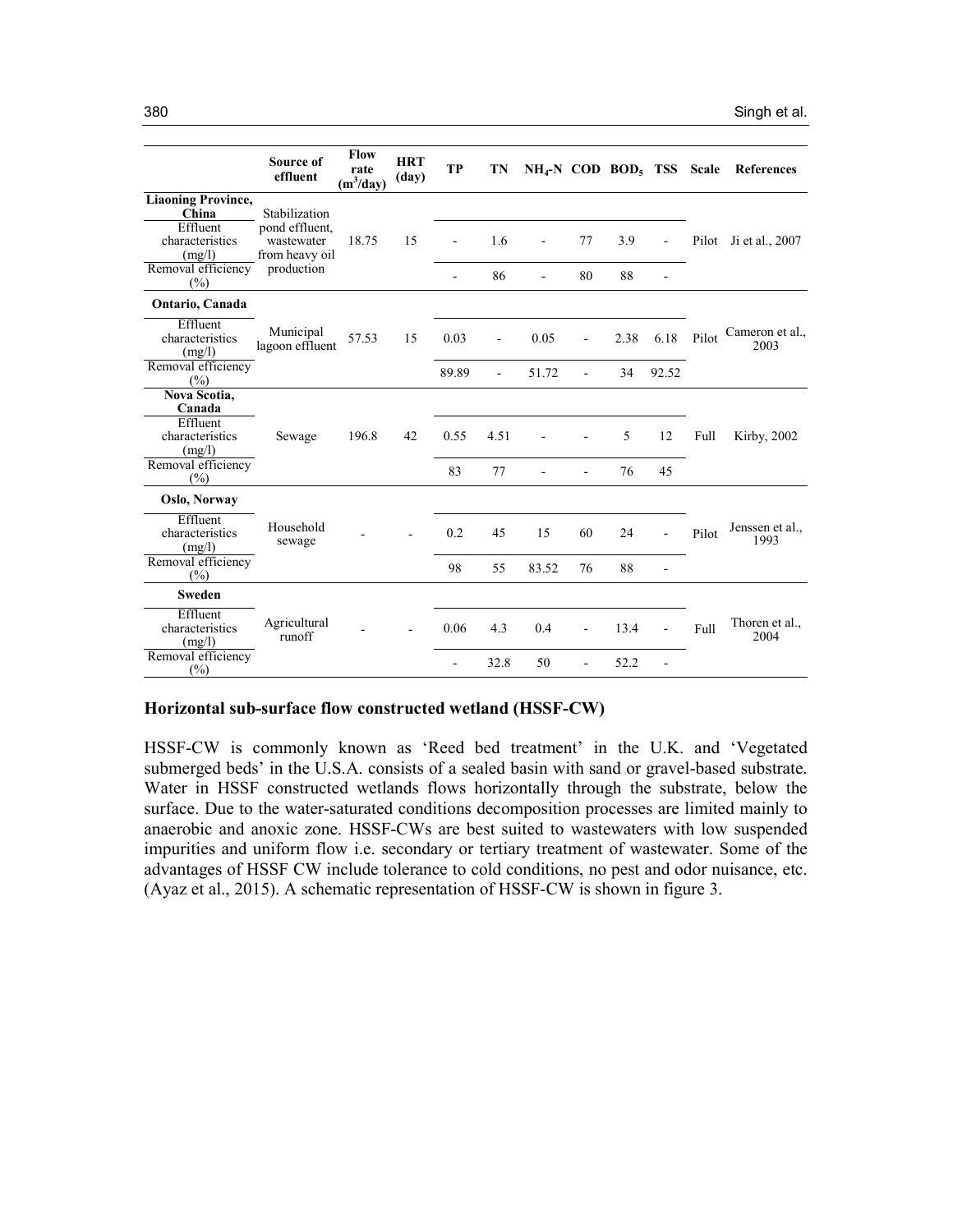|                                       | Source of<br>effluent                          | Flow<br>rate<br>$(m^3/day)$ | <b>HRT</b><br>(day) | <b>TP</b>                | TN             |                |                |      |                          |       | NH <sub>4</sub> -N COD BOD <sub>5</sub> TSS Scale References |
|---------------------------------------|------------------------------------------------|-----------------------------|---------------------|--------------------------|----------------|----------------|----------------|------|--------------------------|-------|--------------------------------------------------------------|
| <b>Liaoning Province,</b><br>China    | Stabilization                                  |                             |                     |                          |                |                |                |      |                          |       |                                                              |
| Effluent<br>characteristics<br>(mg/l) | pond effluent.<br>wastewater<br>from heavy oil | 18.75                       | 15                  | $\blacksquare$           | 1.6            | $\blacksquare$ | 77             | 3.9  | $\blacksquare$           |       | Pilot Ji et al., 2007                                        |
| Removal efficiency<br>$(\%)$          | production                                     |                             |                     | $\overline{\phantom{a}}$ | 86             | $\blacksquare$ | 80             | 88   | L,                       |       |                                                              |
| Ontario, Canada                       |                                                |                             |                     |                          |                |                |                |      |                          |       |                                                              |
| Effluent<br>characteristics<br>(mg/l) | Municipal<br>lagoon effluent                   | 57.53                       | 15                  | 0.03                     |                | 0.05           |                | 2.38 | 6.18                     | Pilot | Cameron et al.,<br>2003                                      |
| Removal efficiency<br>(%)             |                                                |                             |                     | 89.89                    | $\blacksquare$ | 51.72          | $\overline{a}$ | 34   | 92.52                    |       |                                                              |
| Nova Scotia,<br>Canada                |                                                |                             |                     |                          |                |                |                |      |                          |       |                                                              |
| Effluent<br>characteristics<br>(mg/l) | Sewage                                         | 196.8                       | 42                  | 0.55                     | 4.51           |                |                | 5    | 12                       | Full  | <b>Kirby</b> , 2002                                          |
| Removal efficiency<br>(%)             |                                                |                             |                     | 83                       | 77             |                |                | 76   | 45                       |       |                                                              |
| <b>Oslo, Norway</b>                   |                                                |                             |                     |                          |                |                |                |      |                          |       |                                                              |
| Effluent<br>characteristics<br>(mg/l) | Household<br>sewage                            |                             |                     | 0.2                      | 45             | 15             | 60             | 24   |                          | Pilot | Jenssen et al.,<br>1993                                      |
| Removal efficiency<br>(%)             |                                                |                             |                     | 98                       | 55             | 83.52          | 76             | 88   | $\overline{\phantom{a}}$ |       |                                                              |
| <b>Sweden</b>                         |                                                |                             |                     |                          |                |                |                |      |                          |       |                                                              |
| Effluent<br>characteristics<br>(mg/l) | Agricultural<br>runoff                         |                             |                     | 0.06                     | 4.3            | 0.4            |                | 13.4 |                          | Full  | Thoren et al.,<br>2004                                       |
| Removal efficiency<br>$(\%)$          |                                                |                             |                     |                          | 32.8           | 50             |                | 52.2 |                          |       |                                                              |

#### **Horizontal sub-surface flow constructed wetland (HSSF-CW)**

HSSF-CW is commonly known as 'Reed bed treatment' in the U.K. and 'Vegetated submerged beds' in the U.S.A. consists of a sealed basin with sand or gravel-based substrate. Water in HSSF constructed wetlands flows horizontally through the substrate, below the surface. Due to the water-saturated conditions decomposition processes are limited mainly to anaerobic and anoxic zone. HSSF-CWs are best suited to wastewaters with low suspended impurities and uniform flow i.e. secondary or tertiary treatment of wastewater. Some of the advantages of HSSF CW include tolerance to cold conditions, no pest and odor nuisance, etc. (Ayaz et al., 2015). A schematic representation of HSSF-CW is shown in figure 3.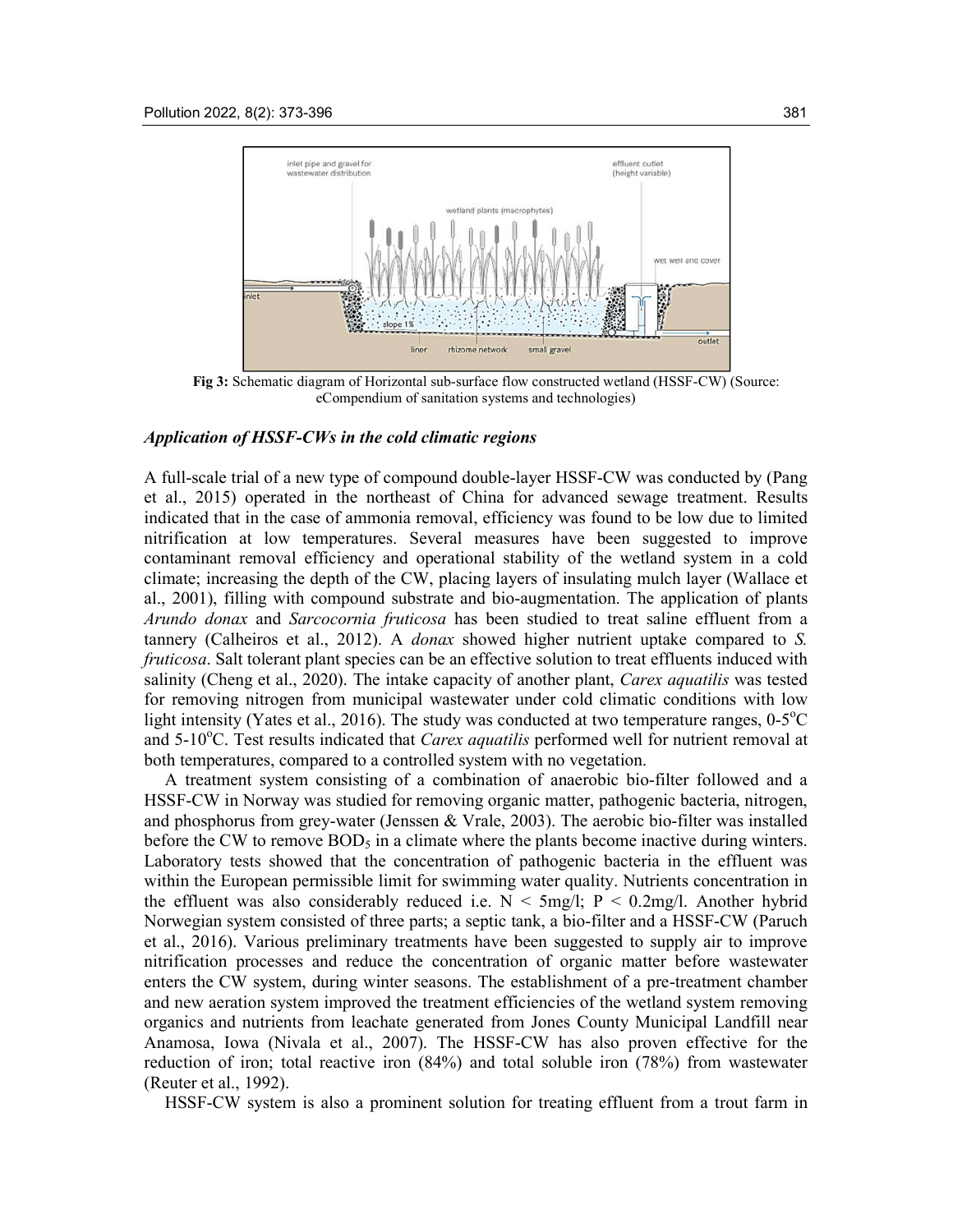

**Fig 3:** Schematic diagram of Horizontal sub-surface flow constructed wetland (HSSF-CW) (Source: eCompendium of sanitation systems and technologies)

#### *Application of HSSF-CWs in the cold climatic regions*

A full-scale trial of a new type of compound double-layer HSSF-CW was conducted by (Pang et al., 2015) operated in the northeast of China for advanced sewage treatment. Results indicated that in the case of ammonia removal, efficiency was found to be low due to limited nitrification at low temperatures. Several measures have been suggested to improve contaminant removal efficiency and operational stability of the wetland system in a cold climate; increasing the depth of the CW, placing layers of insulating mulch layer (Wallace et al., 2001), filling with compound substrate and bio-augmentation. The application of plants *Arundo donax* and *Sarcocornia fruticosa* has been studied to treat saline effluent from a tannery (Calheiros et al., 2012). A *donax* showed higher nutrient uptake compared to *S. fruticosa*. Salt tolerant plant species can be an effective solution to treat effluents induced with salinity (Cheng et al., 2020). The intake capacity of another plant, *Carex aquatilis* was tested for removing nitrogen from municipal wastewater under cold climatic conditions with low light intensity (Yates et al., 2016). The study was conducted at two temperature ranges,  $0-5^{\circ}$ C and 5-10°C. Test results indicated that *Carex aquatilis* performed well for nutrient removal at both temperatures, compared to a controlled system with no vegetation.

A treatment system consisting of a combination of anaerobic bio-filter followed and a HSSF-CW in Norway was studied for removing organic matter, pathogenic bacteria, nitrogen, and phosphorus from grey-water (Jenssen & Vrale, 2003). The aerobic bio-filter was installed before the CW to remove  $BOD_5$  in a climate where the plants become inactive during winters. Laboratory tests showed that the concentration of pathogenic bacteria in the effluent was within the European permissible limit for swimming water quality. Nutrients concentration in the effluent was also considerably reduced i.e.  $N < 5mg/l$ ;  $P < 0.2mg/l$ . Another hybrid Norwegian system consisted of three parts; a septic tank, a bio-filter and a HSSF-CW (Paruch et al., 2016). Various preliminary treatments have been suggested to supply air to improve nitrification processes and reduce the concentration of organic matter before wastewater enters the CW system, during winter seasons. The establishment of a pre-treatment chamber and new aeration system improved the treatment efficiencies of the wetland system removing organics and nutrients from leachate generated from Jones County Municipal Landfill near Anamosa, Iowa (Nivala et al., 2007). The HSSF-CW has also proven effective for the reduction of iron; total reactive iron (84%) and total soluble iron (78%) from wastewater (Reuter et al., 1992).

HSSF-CW system is also a prominent solution for treating effluent from a trout farm in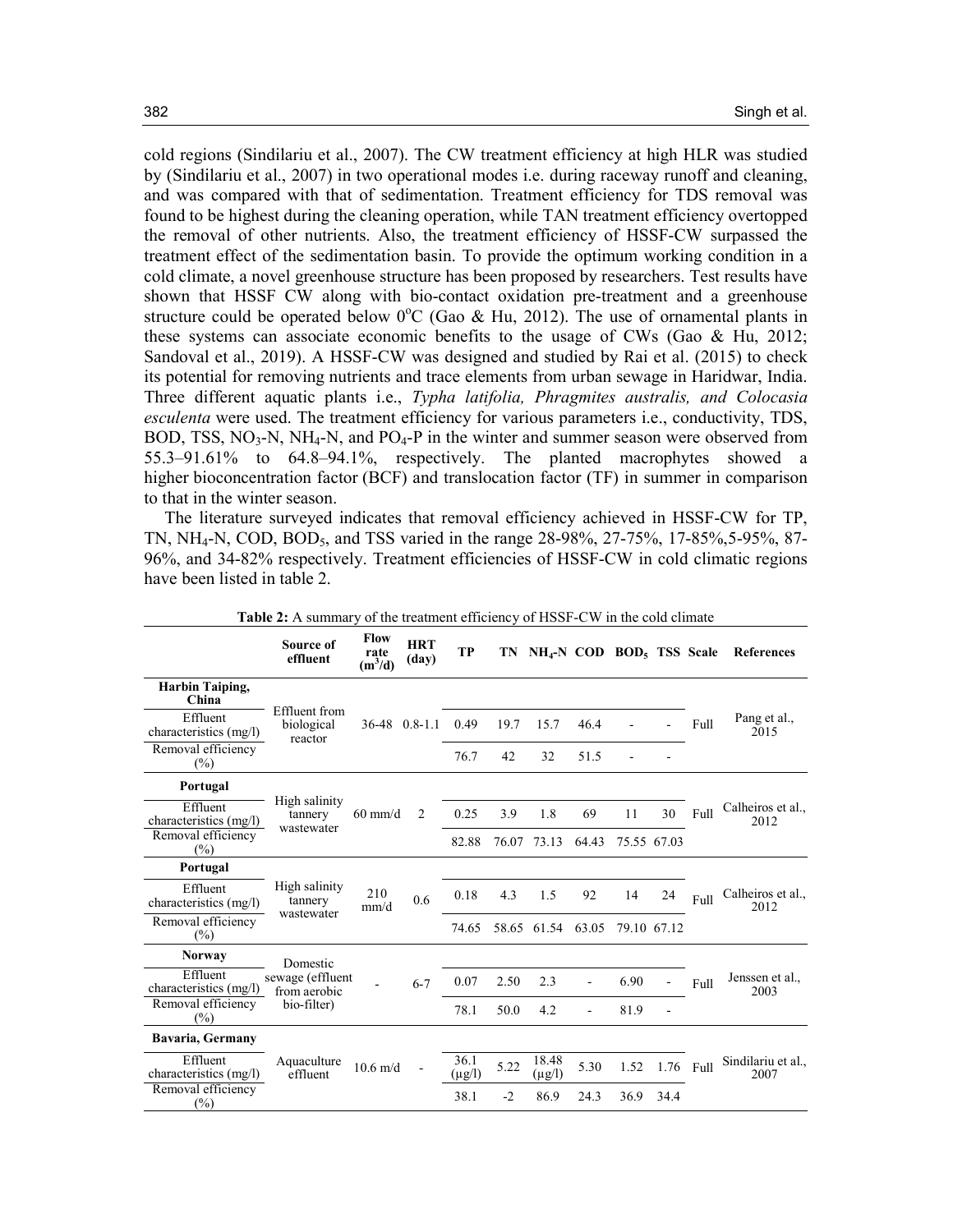cold regions (Sindilariu et al., 2007). The CW treatment efficiency at high HLR was studied by (Sindilariu et al., 2007) in two operational modes i.e. during raceway runoff and cleaning, and was compared with that of sedimentation. Treatment efficiency for TDS removal was found to be highest during the cleaning operation, while TAN treatment efficiency overtopped the removal of other nutrients. Also, the treatment efficiency of HSSF-CW surpassed the treatment effect of the sedimentation basin. To provide the optimum working condition in a cold climate, a novel greenhouse structure has been proposed by researchers. Test results have shown that HSSF CW along with bio-contact oxidation pre-treatment and a greenhouse structure could be operated below  $0^{\circ}C$  (Gao & Hu, 2012). The use of ornamental plants in these systems can associate economic benefits to the usage of CWs (Gao  $\&$  Hu, 2012; Sandoval et al., 2019). A HSSF-CW was designed and studied by Rai et al. (2015) to check its potential for removing nutrients and trace elements from urban sewage in Haridwar, India. Three different aquatic plants i.e., *Typha latifolia, Phragmites australis, and Colocasia esculenta* were used. The treatment efficiency for various parameters i.e., conductivity, TDS, BOD, TSS,  $NO<sub>3</sub>-N$ ,  $NH<sub>4</sub>-N$ , and  $PO<sub>4</sub>-P$  in the winter and summer season were observed from 55.3–91.61% to 64.8–94.1%, respectively. The planted macrophytes showed a higher bioconcentration factor (BCF) and translocation factor (TF) in summer in comparison to that in the winter season.

The literature surveyed indicates that removal efficiency achieved in HSSF-CW for TP, TN, NH4-N, COD, BOD5, and TSS varied in the range 28-98%, 27-75%, 17-85%,5-95%, 87- 96%, and 34-82% respectively. Treatment efficiencies of HSSF-CW in cold climatic regions have been listed in table 2.

|                                    | <b>ravit 2.</b> TV summary             |                           |                     |                     |      | of the treatment emergingly of Hoof -C we in the cold emmate |                |             |      |      |                            |  |
|------------------------------------|----------------------------------------|---------------------------|---------------------|---------------------|------|--------------------------------------------------------------|----------------|-------------|------|------|----------------------------|--|
|                                    | Source of<br>effluent                  | Flow<br>rate<br>$(m^3/d)$ | <b>HRT</b><br>(day) | <b>TP</b>           |      | TN NH <sub>4</sub> -N COD BOD <sub>5</sub> TSS Scale         |                |             |      |      | <b>References</b>          |  |
| <b>Harbin Taiping,</b><br>China    |                                        |                           |                     |                     |      |                                                              |                |             |      |      |                            |  |
| Effluent<br>characteristics (mg/l) | Effluent from<br>biological<br>reactor | 36-48 0.8-1.1             |                     | 0.49                | 19.7 | 15.7                                                         | 46.4           |             |      | Full | Pang et al.,<br>2015       |  |
| Removal efficiency<br>(%)          |                                        |                           |                     | 76.7                | 42   | 32                                                           | 51.5           |             |      |      |                            |  |
| Portugal                           |                                        |                           |                     |                     |      |                                                              |                |             |      |      |                            |  |
| Effluent<br>characteristics (mg/l) | High salinity<br>tannery<br>wastewater | $60$ mm/d                 | 2                   | 0.25                | 3.9  | 1.8                                                          | 69             | 11          | 30   | Full | Calheiros et al.,<br>2012  |  |
| Removal efficiency<br>(%)          |                                        |                           |                     | 82.88               |      | 76.07 73.13                                                  | 64.43          | 75.55 67.03 |      |      |                            |  |
| Portugal                           |                                        |                           |                     |                     |      |                                                              |                |             |      |      |                            |  |
| Effluent<br>characteristics (mg/l) | High salinity<br>tannery               | 210<br>mm/d               | 0.6                 | 0.18                | 4.3  | 1.5                                                          | 92             | 14          | 24   | Full | Calheiros et al.,<br>2012  |  |
| Removal efficiency<br>$(\%)$       | wastewater                             |                           |                     | 74.65               |      | 58.65 61.54 63.05                                            |                | 79.10 67.12 |      |      |                            |  |
| <b>Norway</b>                      | Domestic                               |                           |                     |                     |      |                                                              |                |             |      |      |                            |  |
| Effluent<br>characteristics (mg/l) | sewage (effluent<br>from aerobic       |                           | $6 - 7$             | 0.07                | 2.50 | 2.3                                                          | $\blacksquare$ | 6.90        |      | Full | Jenssen et al.,<br>2003    |  |
| Removal efficiency<br>(%)          | bio-filter)                            |                           |                     | 78.1                | 50.0 | 4.2                                                          |                | 81.9        |      |      |                            |  |
| Bavaria, Germany                   |                                        |                           |                     |                     |      |                                                              |                |             |      |      |                            |  |
| Effluent<br>characteristics (mg/l) | Aquaculture<br>effluent                | $10.6$ m/d                |                     | 36.1<br>$(\mu$ g/l) | 5.22 | 18.48<br>$(\mu g/l)$                                         | 5.30           | 1.52        | 1.76 | Full | Sindilariu et al.,<br>2007 |  |
| Removal efficiency<br>(%)          |                                        |                           |                     | 38.1                | $-2$ | 86.9                                                         | 24.3           | 36.9        | 34.4 |      |                            |  |

**Table 2:** A summary of the treatment efficiency of HSSF-CW in the cold climate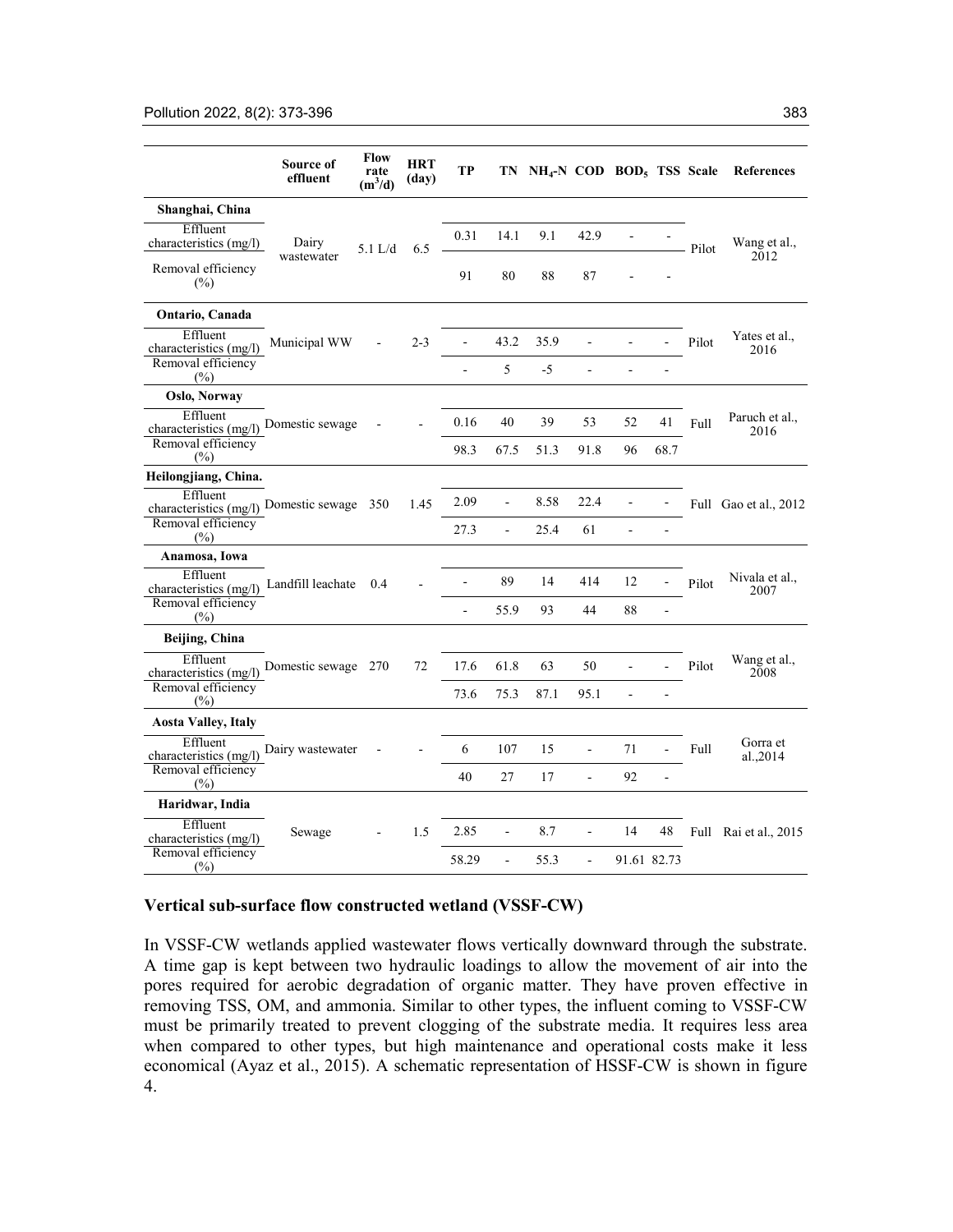#### Pollution 2022, 8(2): 373-396 383

|                                                        | Source of<br>effluent | Flow<br>rate<br>$(m^3/d)$ | HRT<br>(day) | TP             |                | TN $NH_4$ -N COD BOD <sub>5</sub> TSS Scale |                          |                |                |       | References             |  |
|--------------------------------------------------------|-----------------------|---------------------------|--------------|----------------|----------------|---------------------------------------------|--------------------------|----------------|----------------|-------|------------------------|--|
| Shanghai, China                                        |                       |                           |              |                |                |                                             |                          |                |                |       |                        |  |
| Effluent<br>characteristics (mg/l)                     | Dairy                 | $5.1 \text{ L/d}$         | 6.5          | 0.31           | 14.1           | 9.1                                         | 42.9                     | $\overline{a}$ |                | Pilot | Wang et al.,           |  |
| Removal efficiency<br>$(\%)$                           | wastewater            |                           |              | 91             | 80             | 88                                          | 87                       |                |                |       | 2012                   |  |
| Ontario, Canada                                        |                       |                           |              |                |                |                                             |                          |                |                |       |                        |  |
| Effluent<br>characteristics (mg/l)                     | Municipal WW          |                           | $2 - 3$      | $\blacksquare$ | 43.2           | 35.9                                        |                          |                |                | Pilot | Yates et al.,<br>2016  |  |
| Removal efficiency<br>$(\%)$                           |                       |                           |              | ÷.             | 5              | $-5$                                        | L.                       | $\overline{a}$ |                |       |                        |  |
| Oslo, Norway                                           |                       |                           |              |                |                |                                             |                          |                |                |       |                        |  |
| Effluent<br>characteristics (mg/l) Domestic sewage     |                       | $\overline{a}$            |              | 0.16           | 40             | 39                                          | 53                       | 52             | 41             | Full  | Paruch et al.,<br>2016 |  |
| Removal efficiency<br>(%)                              |                       |                           |              | 98.3           | 67.5           | 51.3                                        | 91.8                     | 96             | 68.7           |       |                        |  |
| Heilongjiang, China.                                   |                       |                           |              |                |                |                                             |                          |                |                |       |                        |  |
| Effluent<br>characteristics (mg/l) Domestic sewage 350 |                       |                           | 1.45         | 2.09           | ÷,             | 8.58                                        | 22.4                     |                |                |       | Full Gao et al., 2012  |  |
| Removal efficiency<br>$(\%)$                           |                       |                           |              | 27.3           | ÷,             | 25.4                                        | 61                       |                |                |       |                        |  |
| Anamosa, Iowa                                          |                       |                           |              |                |                |                                             |                          |                |                |       |                        |  |
| Effluent<br>characteristics (mg/l) Landfill leachate   |                       | 0.4                       |              | ÷,             | 89             | 14                                          | 414                      | 12             |                | Pilot | Nivala et al.,<br>2007 |  |
| Removal efficiency<br>$\frac{0}{0}$                    |                       |                           |              | ä,             | 55.9           | 93                                          | 44                       | 88             | $\overline{a}$ |       |                        |  |
| Beijing, China                                         |                       |                           |              |                |                |                                             |                          |                |                |       |                        |  |
| Effluent<br>characteristics (mg/l)                     | Domestic sewage 270   |                           | 72           | 17.6           | 61.8           | 63                                          | 50                       |                |                | Pilot | Wang et al.,<br>2008   |  |
| Removal efficiency<br>$(\%)$                           |                       |                           |              | 73.6           | 75.3           | 87.1                                        | 95.1                     |                |                |       |                        |  |
| <b>Aosta Valley, Italy</b>                             |                       |                           |              |                |                |                                             |                          |                |                |       |                        |  |
| Effluent<br>characteristics $(mg/l)$ Dairy wastewater  |                       |                           |              | 6              | 107            | 15                                          | $\overline{\phantom{0}}$ | 71             |                | Full  | Gorra et<br>al.,2014   |  |
| Removal efficiency<br>(%)                              |                       |                           |              | 40             | 27             | 17                                          | $\overline{a}$           | 92             | ÷,             |       |                        |  |
| Haridwar, India                                        |                       |                           |              |                |                |                                             |                          |                |                |       |                        |  |
| Effluent<br>characteristics (mg/l)                     | Sewage                | $\blacksquare$            | 1.5          | 2.85           | $\blacksquare$ | 8.7                                         | $\blacksquare$           | 14             | 48             |       | Full Rai et al., 2015  |  |
| Removal efficiency<br>$(\%)$                           |                       |                           |              | 58.29          |                | 55.3                                        | $\overline{a}$           | 91.61 82.73    |                |       |                        |  |

### **Vertical sub-surface flow constructed wetland (VSSF-CW)**

In VSSF-CW wetlands applied wastewater flows vertically downward through the substrate. A time gap is kept between two hydraulic loadings to allow the movement of air into the pores required for aerobic degradation of organic matter. They have proven effective in removing TSS, OM, and ammonia. Similar to other types, the influent coming to VSSF-CW must be primarily treated to prevent clogging of the substrate media. It requires less area when compared to other types, but high maintenance and operational costs make it less economical (Ayaz et al., 2015). A schematic representation of HSSF-CW is shown in figure 4.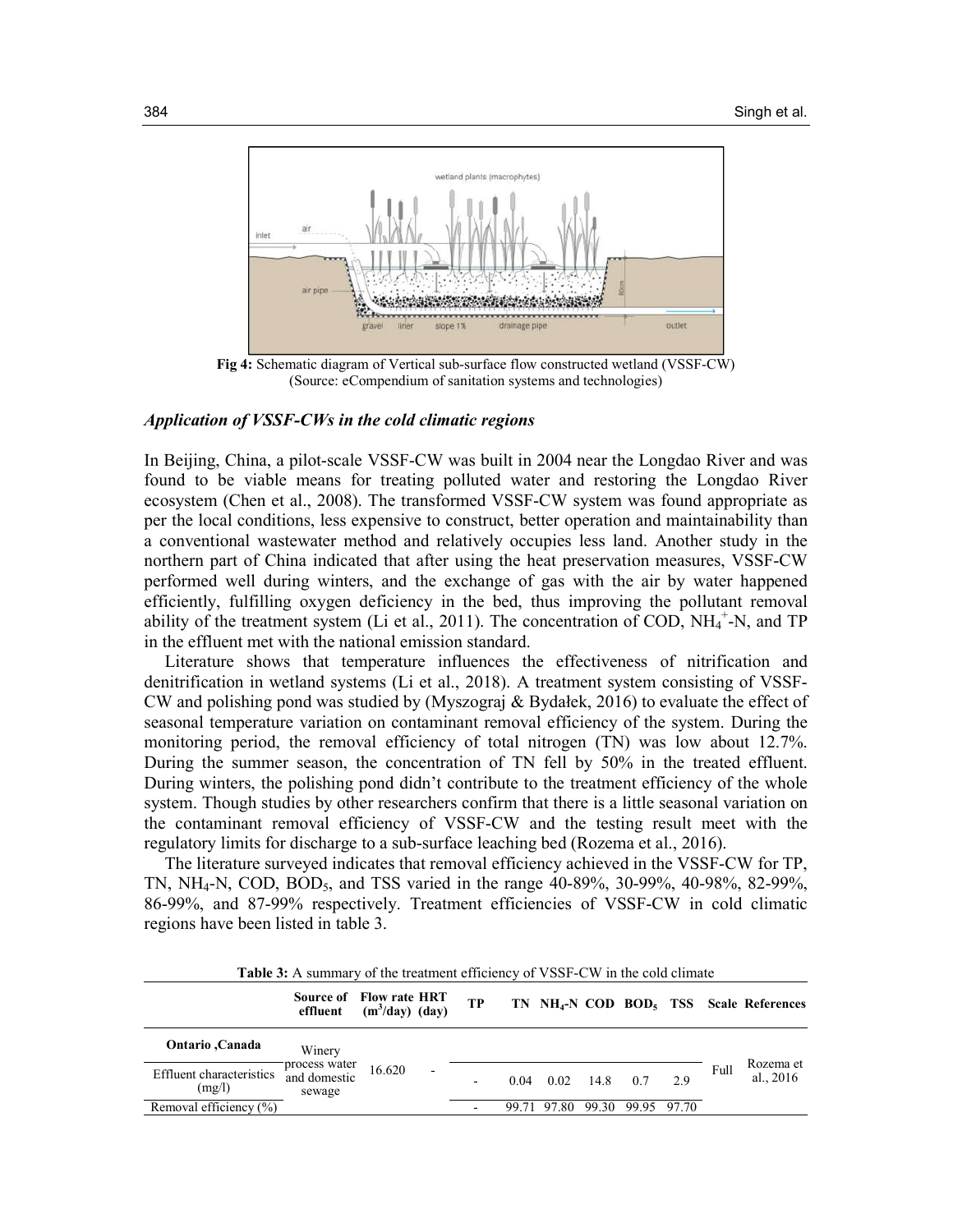

**Fig 4:** Schematic diagram of Vertical sub-surface flow constructed wetland (VSSF-CW) (Source: eCompendium of sanitation systems and technologies)

### *Application of VSSF-CWs in the cold climatic regions*

In Beijing, China, a pilot-scale VSSF-CW was built in 2004 near the Longdao River and was found to be viable means for treating polluted water and restoring the Longdao River ecosystem (Chen et al., 2008). The transformed VSSF-CW system was found appropriate as per the local conditions, less expensive to construct, better operation and maintainability than a conventional wastewater method and relatively occupies less land. Another study in the northern part of China indicated that after using the heat preservation measures, VSSF-CW performed well during winters, and the exchange of gas with the air by water happened efficiently, fulfilling oxygen deficiency in the bed, thus improving the pollutant removal ability of the treatment system (Li et al., 2011). The concentration of COD,  $NH_4^+$ -N, and TP in the effluent met with the national emission standard.

Literature shows that temperature influences the effectiveness of nitrification and denitrification in wetland systems (Li et al., 2018). A treatment system consisting of VSSF-CW and polishing pond was studied by (Myszograj & Bydałek, 2016) to evaluate the effect of seasonal temperature variation on contaminant removal efficiency of the system. During the monitoring period, the removal efficiency of total nitrogen (TN) was low about 12.7%. During the summer season, the concentration of TN fell by 50% in the treated effluent. During winters, the polishing pond didn't contribute to the treatment efficiency of the whole system. Though studies by other researchers confirm that there is a little seasonal variation on the contaminant removal efficiency of VSSF-CW and the testing result meet with the regulatory limits for discharge to a sub-surface leaching bed (Rozema et al., 2016).

The literature surveyed indicates that removal efficiency achieved in the VSSF-CW for TP, TN, NH4-N, COD, BOD5, and TSS varied in the range 40-89%, 30-99%, 40-98%, 82-99%, 86-99%, and 87-99% respectively. Treatment efficiencies of VSSF-CW in cold climatic regions have been listed in table 3.

**Table 3:** A summary of the treatment efficiency of VSSF-CW in the cold climate

|                                    | effluent                                | Source of Flow rate HRT<br>$(m3/day)$ (day) | TР                       |       |       |       |             |    |      | TN NH <sub>4</sub> -N COD BOD <sub>5</sub> TSS Scale References |
|------------------------------------|-----------------------------------------|---------------------------------------------|--------------------------|-------|-------|-------|-------------|----|------|-----------------------------------------------------------------|
| <b>Ontario</b> , Canada            | Winery                                  |                                             |                          |       |       |       |             |    |      |                                                                 |
| Effluent characteristics<br>(mg/l) | process water<br>and domestic<br>sewage | 16.620<br>$\overline{\phantom{a}}$          | $\overline{\phantom{a}}$ | 0.04  | 0.02  | 14.8  | 0.7         | 29 | Full | Rozema et<br>al., $2016$                                        |
| Removal efficiency $(\% )$         |                                         |                                             | $\overline{a}$           | 99.71 | 97.80 | 99.30 | 99.95 97.70 |    |      |                                                                 |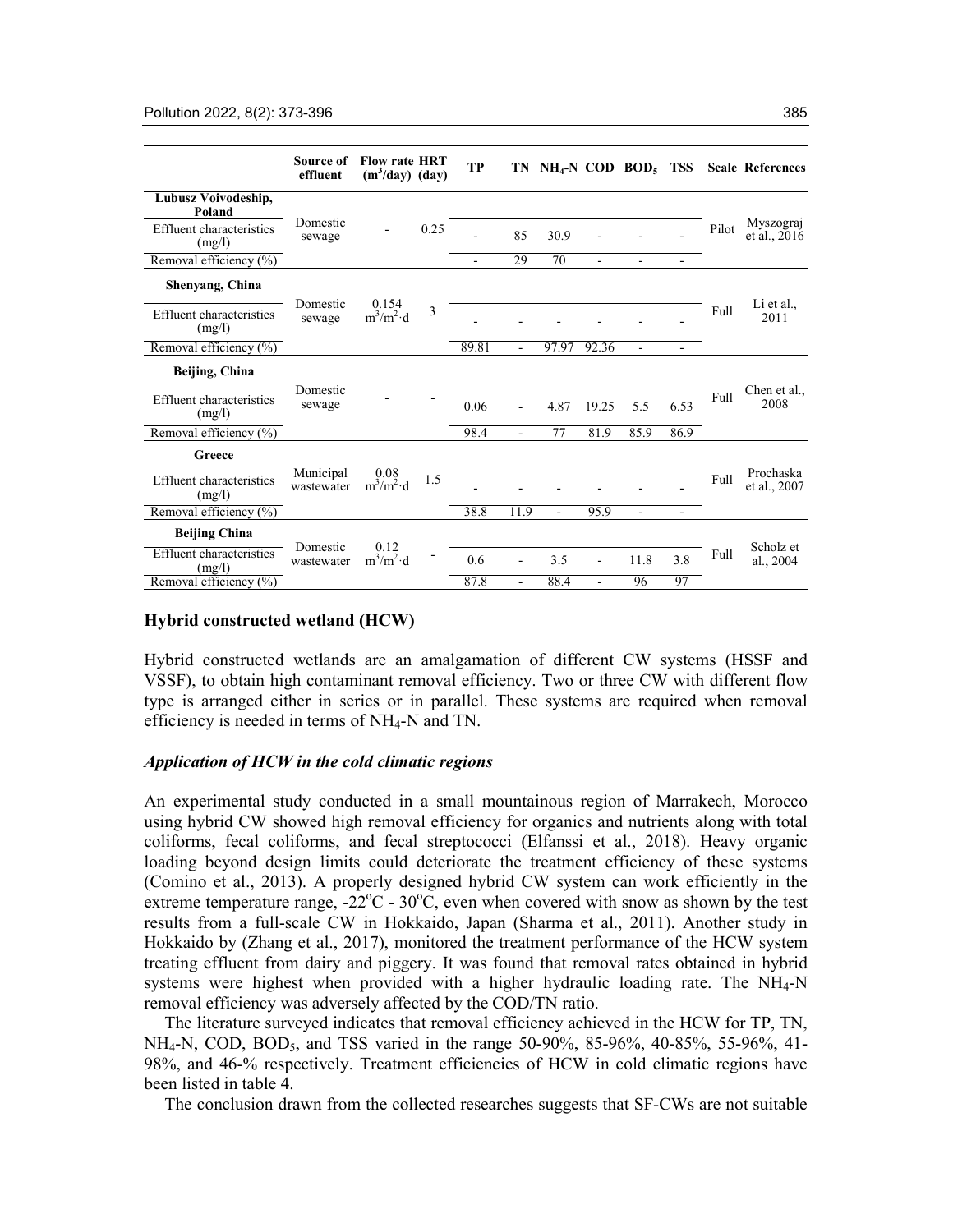#### Pollution 2022, 8(2): 373-396 385

|                                           | Source of<br>effluent   | <b>Flow rate HRT</b><br>$(m3/day)$ (day) |      | <b>TP</b> |                |                |                          | $TN$ $NH_4-N$ $COD$ $BOD_5$ $TSS$ |                |       | <b>Scale References</b>   |     |                |     |  |      |     |      |                        |
|-------------------------------------------|-------------------------|------------------------------------------|------|-----------|----------------|----------------|--------------------------|-----------------------------------|----------------|-------|---------------------------|-----|----------------|-----|--|------|-----|------|------------------------|
| Lubusz Voivodeship,<br>Poland             |                         |                                          |      |           |                |                |                          |                                   |                |       |                           |     |                |     |  |      |     |      |                        |
| <b>Effluent characteristics</b><br>(mg/l) | Domestic<br>sewage      |                                          | 0.25 |           | 85             | 30.9           |                          |                                   |                | Pilot | Myszograj<br>et al., 2016 |     |                |     |  |      |     |      |                        |
| Removal efficiency (%)                    |                         |                                          |      |           | 29             | 70             |                          |                                   |                |       |                           |     |                |     |  |      |     |      |                        |
| Shenyang, China                           |                         |                                          |      |           |                |                |                          |                                   |                |       |                           |     |                |     |  |      |     |      |                        |
| Effluent characteristics<br>(mg/l)        | Domestic<br>sewage      | 0.154<br>$m^3/m^2 \cdot d$               | 3    |           |                |                |                          |                                   |                | Full  | Li et al.,<br>2011        |     |                |     |  |      |     |      |                        |
| Removal efficiency (%)                    |                         |                                          |      | 89.81     | ÷.             | 97.97          | 92.36                    |                                   |                |       |                           |     |                |     |  |      |     |      |                        |
| Beijing, China                            |                         |                                          |      |           |                |                |                          |                                   |                |       |                           |     |                |     |  |      |     |      |                        |
| Effluent characteristics<br>(mg/l)        | Domestic<br>sewage      |                                          |      | 0.06      |                | 4.87           | 19.25                    | 5.5                               | 6.53           | Full  | Chen et al.,<br>2008      |     |                |     |  |      |     |      |                        |
| Removal efficiency (%)                    |                         |                                          |      | 98.4      | $\blacksquare$ | 77             | 81.9                     | 85.9                              | 86.9           |       |                           |     |                |     |  |      |     |      |                        |
| Greece                                    |                         |                                          |      |           |                |                |                          |                                   |                |       | Prochaska                 |     |                |     |  |      |     |      |                        |
| Effluent characteristics<br>(mg/l)        | Municipal<br>wastewater | 0.08<br>$m^3/m^2 \cdot d$                | 1.5  |           |                |                |                          |                                   |                | Full  | et al., 2007              |     |                |     |  |      |     |      |                        |
| Removal efficiency (%)                    |                         |                                          |      | 38.8      | 11.9           | $\blacksquare$ | 95.9                     | $\blacksquare$                    | $\blacksquare$ |       |                           |     |                |     |  |      |     |      |                        |
| <b>Beijing China</b>                      |                         |                                          |      |           |                |                |                          |                                   |                |       |                           |     |                |     |  |      |     |      |                        |
| <b>Effluent</b> characteristics<br>(mg/l) | Domestic<br>wastewater  | 0.12<br>$m^3/m^2 \cdot d$                |      |           |                |                |                          |                                   |                |       |                           | 0.6 | $\blacksquare$ | 3.5 |  | 11.8 | 3.8 | Full | Scholz et<br>al., 2004 |
| Removal efficiency (%)                    |                         |                                          |      | 87.8      | $\blacksquare$ | 88.4           | $\overline{\phantom{a}}$ | 96                                | 97             |       |                           |     |                |     |  |      |     |      |                        |

### **Hybrid constructed wetland (HCW)**

Hybrid constructed wetlands are an amalgamation of different CW systems (HSSF and VSSF), to obtain high contaminant removal efficiency. Two or three CW with different flow type is arranged either in series or in parallel. These systems are required when removal efficiency is needed in terms of NH4-N and TN.

### *Application of HCW in the cold climatic regions*

An experimental study conducted in a small mountainous region of Marrakech, Morocco using hybrid CW showed high removal efficiency for organics and nutrients along with total coliforms, fecal coliforms, and fecal streptococci (Elfanssi et al., 2018). Heavy organic loading beyond design limits could deteriorate the treatment efficiency of these systems (Comino et al., 2013). A properly designed hybrid CW system can work efficiently in the extreme temperature range,  $-22^{\circ}\text{C}$  - 30°C, even when covered with snow as shown by the test results from a full-scale CW in Hokkaido, Japan (Sharma et al., 2011). Another study in Hokkaido by (Zhang et al., 2017), monitored the treatment performance of the HCW system treating effluent from dairy and piggery. It was found that removal rates obtained in hybrid systems were highest when provided with a higher hydraulic loading rate. The  $NH_4-N$ removal efficiency was adversely affected by the COD/TN ratio.

The literature surveyed indicates that removal efficiency achieved in the HCW for TP, TN, NH<sub>4</sub>-N, COD, BOD<sub>5</sub>, and TSS varied in the range 50-90%, 85-96%, 40-85%, 55-96%, 41-98%, and 46-% respectively. Treatment efficiencies of HCW in cold climatic regions have been listed in table 4.

The conclusion drawn from the collected researches suggests that SF-CWs are not suitable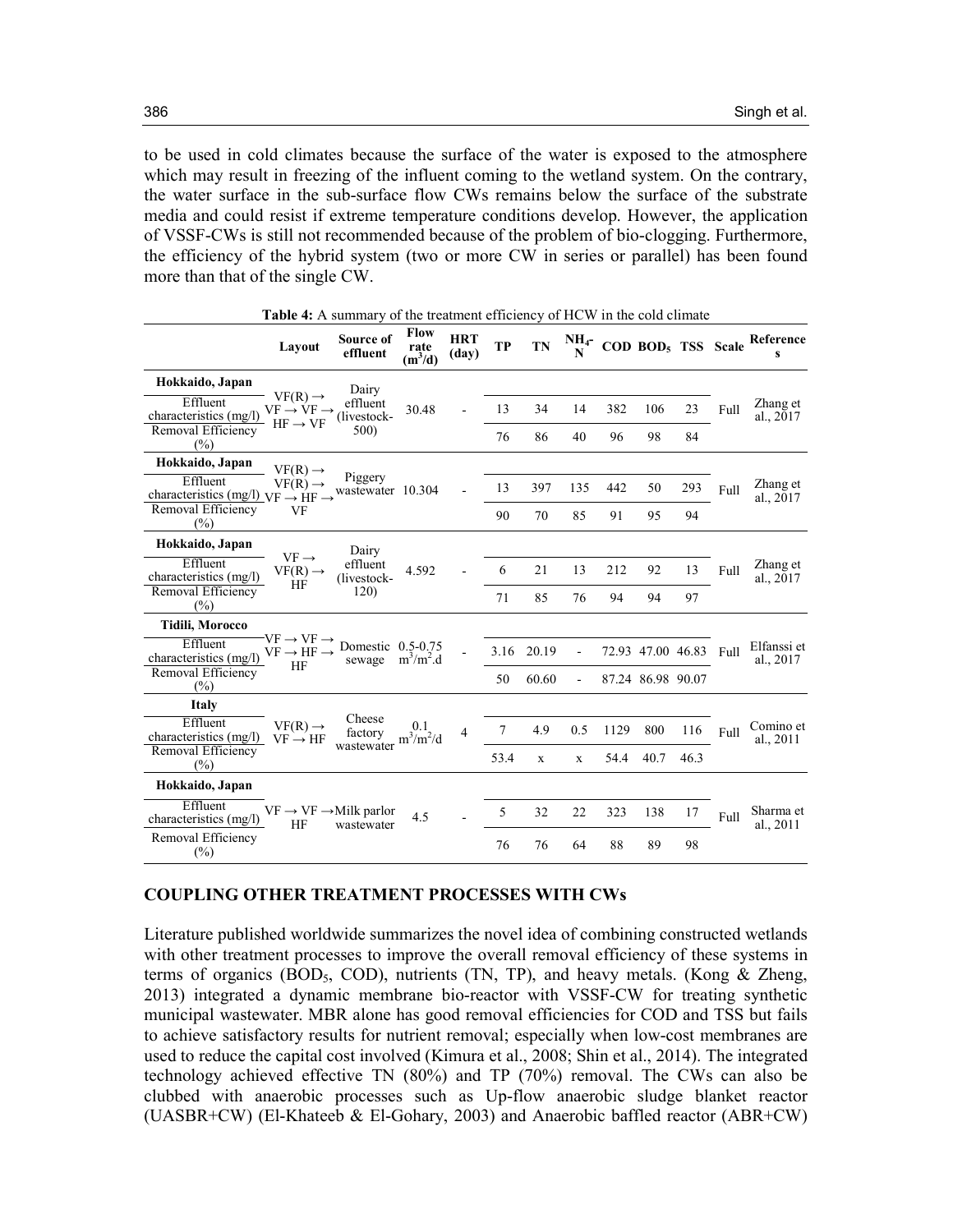to be used in cold climates because the surface of the water is exposed to the atmosphere which may result in freezing of the influent coming to the wetland system. On the contrary, the water surface in the sub-surface flow CWs remains below the surface of the substrate media and could resist if extreme temperature conditions develop. However, the application of VSSF-CWs is still not recommended because of the problem of bio-clogging. Furthermore, the efficiency of the hybrid system (two or more CW in series or parallel) has been found more than that of the single CW.

|                                                                    | Layout                                                                                          | Source of<br>effluent           | <b>Flow</b><br>rate<br>$(m^3/d)$ | <b>HRT</b><br>(day) | <b>TP</b> | TN    |     |      | $\frac{NH_{4}}{N}$ COD BOD <sub>5</sub> TSS |      |      | Scale Reference<br>s     |
|--------------------------------------------------------------------|-------------------------------------------------------------------------------------------------|---------------------------------|----------------------------------|---------------------|-----------|-------|-----|------|---------------------------------------------|------|------|--------------------------|
| Hokkaido, Japan                                                    |                                                                                                 | Dairy                           |                                  |                     |           |       |     |      |                                             |      |      |                          |
| Effluent<br>characteristics (mg/l)                                 | $VF(R) \rightarrow$<br>$\mathrm{VF} \rightarrow \mathrm{VF} \rightarrow$<br>$HF \rightarrow VF$ | effluent<br>(livestock-         | 30.48                            |                     | 13        | 34    | 14  | 382  | 106                                         | 23   | Full | Zhang et<br>al., 2017    |
| Removal Efficiency<br>(%)                                          |                                                                                                 | 500)                            |                                  |                     | 76        | 86    | 40  | 96   | 98                                          | 84   |      |                          |
| Hokkaido, Japan                                                    | $VF(R) \rightarrow$                                                                             |                                 |                                  |                     |           |       |     |      |                                             |      |      |                          |
| Effluent<br>characteristics (mg/l) $VF \rightarrow HF \rightarrow$ | $VF(R) \rightarrow$                                                                             | Piggery<br>wastewater 10.304    |                                  |                     | 13        | 397   | 135 | 442  | 50                                          | 293  | Full | Zhang et<br>al., $2017$  |
| Removal Efficiency<br>(%)                                          | VF                                                                                              |                                 |                                  |                     | 90        | 70    | 85  | 91   | 95                                          | 94   |      |                          |
| Hokkaido, Japan                                                    |                                                                                                 | Dairy                           |                                  |                     |           |       |     |      |                                             |      |      |                          |
| Effluent<br>characteristics (mg/l)                                 | $VF \rightarrow$<br>$VF(R) \rightarrow$<br>ΗF                                                   | effluent<br>(livestock-         | 4.592                            |                     | 6         | 21    | 13  | 212  | 92                                          | 13   | Full | Zhang et<br>al., 2017    |
| Removal Efficiency<br>(%)                                          |                                                                                                 | 120)                            |                                  |                     | 71        | 85    | 76  | 94   | 94                                          | 97   |      |                          |
| Tidili, Morocco                                                    |                                                                                                 |                                 |                                  |                     |           |       |     |      |                                             |      |      |                          |
| Effluent<br>characteristics (mg/l)                                 | $VF \rightarrow VF \rightarrow$<br>$VF \rightarrow HF \rightarrow$<br>HF                        | Domestic 0.5-0.75<br>sewage     | $m^3/m^2$ .d                     |                     | 3.16      | 20.19 |     |      | 72.93 47.00 46.83                           |      | Full | Elfanssi et<br>al., 2017 |
| Removal Efficiency<br>(%)                                          |                                                                                                 |                                 |                                  |                     | 50        | 60.60 |     |      | 87.24 86.98 90.07                           |      |      |                          |
| <b>Italy</b>                                                       |                                                                                                 |                                 |                                  |                     |           |       |     |      |                                             |      |      |                          |
| Effluent<br>characteristics (mg/l)                                 | $VF(R) \rightarrow$<br>$VF \rightarrow HF$                                                      | Cheese<br>factory<br>wastewater | 0.1<br>$m^3/m^2/d$               | $\overline{4}$      | 7         | 4.9   | 0.5 | 1129 | 800                                         | 116  | Full | Comino et<br>al., $2011$ |
| Removal Efficiency<br>$(\%)$                                       |                                                                                                 |                                 |                                  |                     | 53.4      | X     | X   | 54.4 | 40.7                                        | 46.3 |      |                          |
| Hokkaido, Japan                                                    |                                                                                                 |                                 |                                  |                     |           |       |     |      |                                             |      |      |                          |
| Effluent<br>characteristics (mg/l)                                 | $VF \rightarrow VF \rightarrow$ Milk parlor<br>HF                                               | wastewater                      | 4.5                              |                     | 5         | 32    | 22  | 323  | 138                                         | 17   | Full | Sharma et<br>al., $2011$ |
| Removal Efficiency<br>(%)                                          |                                                                                                 |                                 |                                  |                     | 76        | 76    | 64  | 88   | 89                                          | 98   |      |                          |

**Table 4:** A summary of the treatment efficiency of HCW in the cold climate

### **COUPLING OTHER TREATMENT PROCESSES WITH CWs**

Literature published worldwide summarizes the novel idea of combining constructed wetlands with other treatment processes to improve the overall removal efficiency of these systems in terms of organics (BOD<sub>5</sub>, COD), nutrients (TN, TP), and heavy metals. (Kong  $\&$  Zheng, 2013) integrated a dynamic membrane bio-reactor with VSSF-CW for treating synthetic municipal wastewater. MBR alone has good removal efficiencies for COD and TSS but fails to achieve satisfactory results for nutrient removal; especially when low-cost membranes are used to reduce the capital cost involved (Kimura et al., 2008; Shin et al., 2014). The integrated technology achieved effective TN (80%) and TP (70%) removal. The CWs can also be clubbed with anaerobic processes such as Up-flow anaerobic sludge blanket reactor (UASBR+CW) (El-Khateeb & El-Gohary, 2003) and Anaerobic baffled reactor (ABR+CW)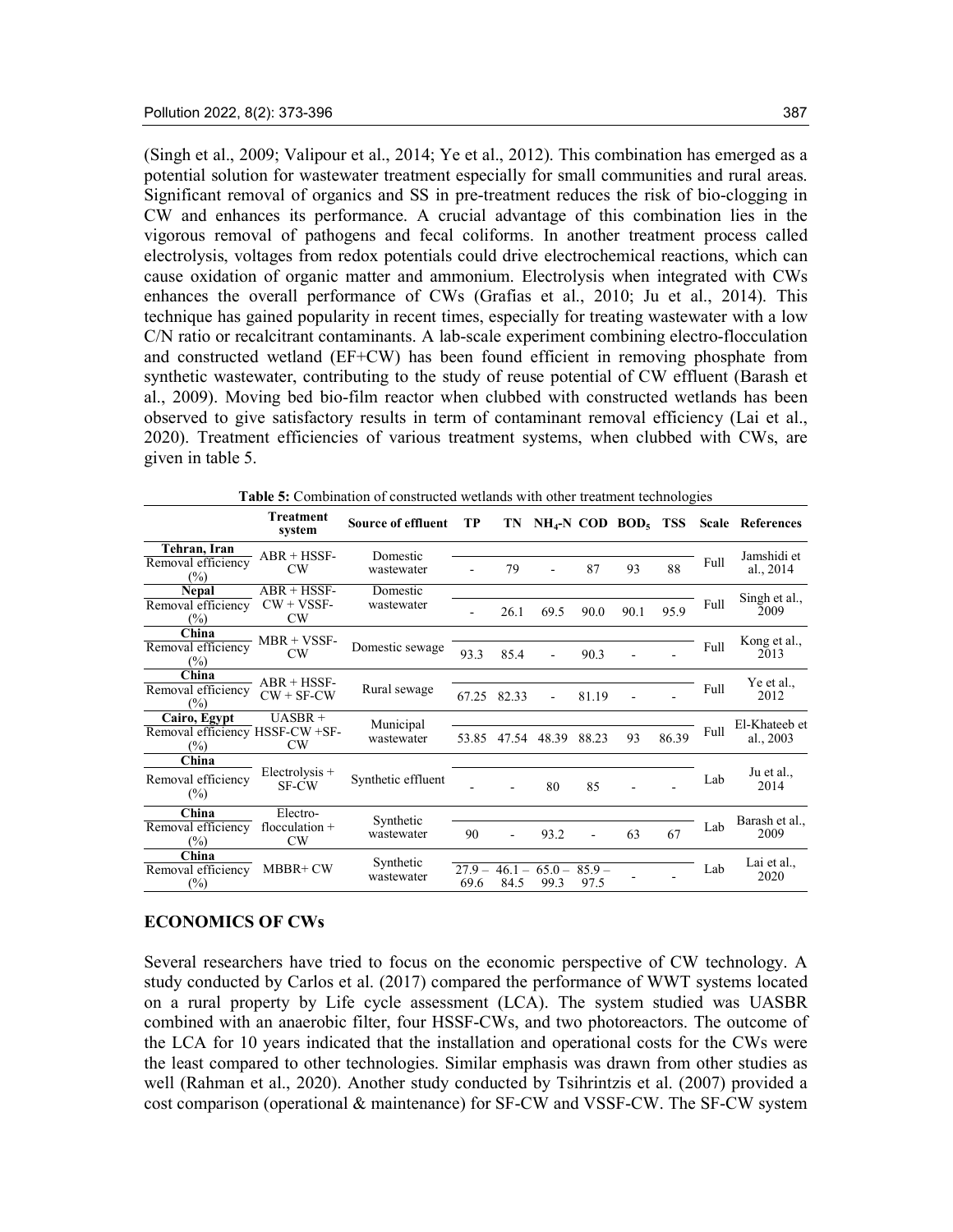(Singh et al., 2009; Valipour et al., 2014; Ye et al., 2012). This combination has emerged as a potential solution for wastewater treatment especially for small communities and rural areas. Significant removal of organics and SS in pre-treatment reduces the risk of bio-clogging in CW and enhances its performance. A crucial advantage of this combination lies in the vigorous removal of pathogens and fecal coliforms. In another treatment process called electrolysis, voltages from redox potentials could drive electrochemical reactions, which can cause oxidation of organic matter and ammonium. Electrolysis when integrated with CWs enhances the overall performance of CWs (Grafias et al., 2010; Ju et al., 2014). This technique has gained popularity in recent times, especially for treating wastewater with a low C/N ratio or recalcitrant contaminants. A lab-scale experiment combining electro-flocculation and constructed wetland (EF+CW) has been found efficient in removing phosphate from synthetic wastewater, contributing to the study of reuse potential of CW effluent (Barash et al., 2009). Moving bed bio-film reactor when clubbed with constructed wetlands has been observed to give satisfactory results in term of contaminant removal efficiency (Lai et al., 2020). Treatment efficiencies of various treatment systems, when clubbed with CWs, are given in table 5.

|                                                        | <b>Treatment</b><br>system                  | <b>Source of effluent</b> | TP             | TN                               | $NH_4-N$ COD BOD <sub>5</sub> TSS |                  |      |       |      | <b>Scale References</b>    |
|--------------------------------------------------------|---------------------------------------------|---------------------------|----------------|----------------------------------|-----------------------------------|------------------|------|-------|------|----------------------------|
| Tehran, Iran<br>Removal efficiency<br>$\binom{0}{0}$   | $ABR + HSSF-$<br>CW                         | Domestic<br>wastewater    |                | 79                               |                                   | 87               | 93   | 88    | Full | Jamshidi et<br>al., 2014   |
| Nepal<br>Removal efficiency<br>$(\%)$                  | $ABR + HSSF-$<br>$CW + VSSF$ -<br><b>CW</b> | Domestic<br>wastewater    |                | 26.1                             | 69.5                              | 90.0             | 90.1 | 95.9  | Full | Singh et al.,<br>2009      |
| China<br>Removal efficiency<br>$\frac{1}{2}$           | $MBR + VSSF-$<br>CW                         | Domestic sewage           | 93.3           | 85.4                             |                                   | 90.3             |      |       | Full | Kong et al.,<br>2013       |
| China<br>Removal efficiency<br>$(\%)$                  | $ABR + HSSF-$<br>$CW + SF-CW$               | Rural sewage              | 67.25          | 82.33                            |                                   | 81.19            |      |       | Full | Ye et al.,<br>2012         |
| Cairo, Egypt<br>Removal efficiency HSSF-CW +SF-<br>(%) | $UASBR +$<br>CW                             | Municipal<br>wastewater   | 53.85          | 47.54                            | 48.39                             | 88.23            | 93   | 86.39 | Full | El-Khateeb et<br>al., 2003 |
| China<br>Removal efficiency<br>$(\%)$                  | $Electrolysis +$<br><b>SF-CW</b>            | Synthetic effluent        |                |                                  | 80                                | 85               |      |       | Lab  | Ju et al.,<br>2014         |
| China<br>Removal efficiency<br>$\frac{1}{2}$           | Electro-<br>flocculation $+$<br>CW          | Synthetic<br>wastewater   | 90             |                                  | 93.2                              |                  | 63   | 67    | Lab  | Barash et al.,<br>2009     |
| China<br>Removal efficiency<br>$(\%)$                  | MBBR+ CW                                    | Synthetic<br>wastewater   | $279-$<br>69.6 | 461<br>$\qquad \qquad =$<br>84.5 | $650 -$<br>99.3                   | $85.9 -$<br>97.5 |      |       | Lab  | Lai et al.,<br>2020        |

**Table 5:** Combination of constructed wetlands with other treatment technologies

#### **ECONOMICS OF CWs**

Several researchers have tried to focus on the economic perspective of CW technology. A study conducted by Carlos et al. (2017) compared the performance of WWT systems located on a rural property by Life cycle assessment (LCA). The system studied was UASBR combined with an anaerobic filter, four HSSF-CWs, and two photoreactors. The outcome of the LCA for 10 years indicated that the installation and operational costs for the CWs were the least compared to other technologies. Similar emphasis was drawn from other studies as well (Rahman et al., 2020). Another study conducted by Tsihrintzis et al. (2007) provided a cost comparison (operational & maintenance) for SF-CW and VSSF-CW. The SF-CW system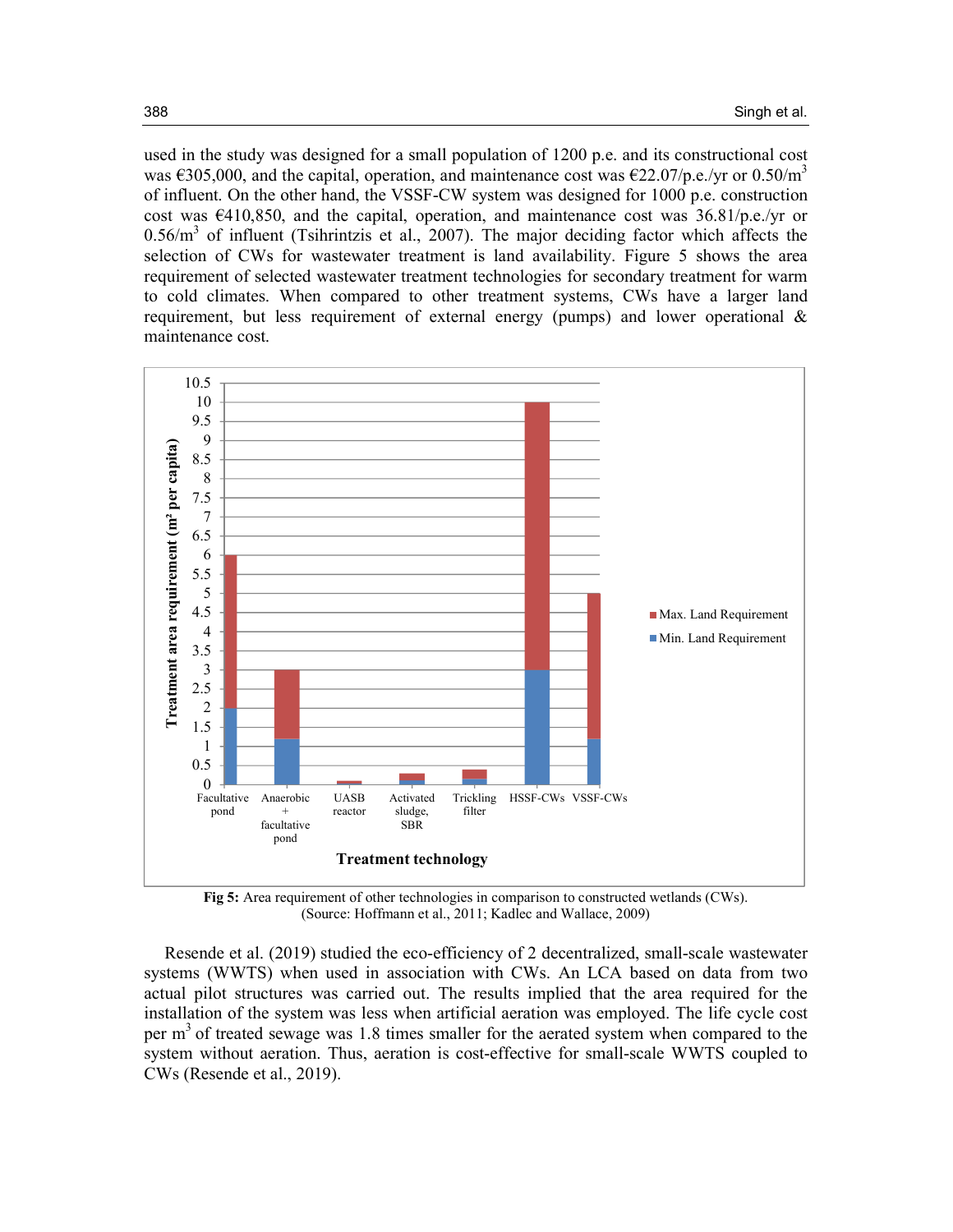used in the study was designed for a small population of 1200 p.e. and its constructional cost was €305,000, and the capital, operation, and maintenance cost was €22.07/p.e./yr or 0.50/m<sup>3</sup> of influent. On the other hand, the VSSF-CW system was designed for 1000 p.e. construction cost was  $\epsilon$ 410,850, and the capital, operation, and maintenance cost was 36.81/p.e./yr or  $0.56/m<sup>3</sup>$  of influent (Tsihrintzis et al., 2007). The major deciding factor which affects the selection of CWs for wastewater treatment is land availability. Figure 5 shows the area requirement of selected wastewater treatment technologies for secondary treatment for warm to cold climates. When compared to other treatment systems, CWs have a larger land requirement, but less requirement of external energy (pumps) and lower operational & maintenance cost.



**Fig 5:** Area requirement of other technologies in comparison to constructed wetlands (CWs). (Source: Hoffmann et al., 2011; Kadlec and Wallace, 2009)

Resende et al. (2019) studied the eco-efficiency of 2 decentralized, small-scale wastewater systems (WWTS) when used in association with CWs. An LCA based on data from two actual pilot structures was carried out. The results implied that the area required for the installation of the system was less when artificial aeration was employed. The life cycle cost per m3 of treated sewage was 1.8 times smaller for the aerated system when compared to the system without aeration. Thus, aeration is cost-effective for small-scale WWTS coupled to CWs (Resende et al., 2019).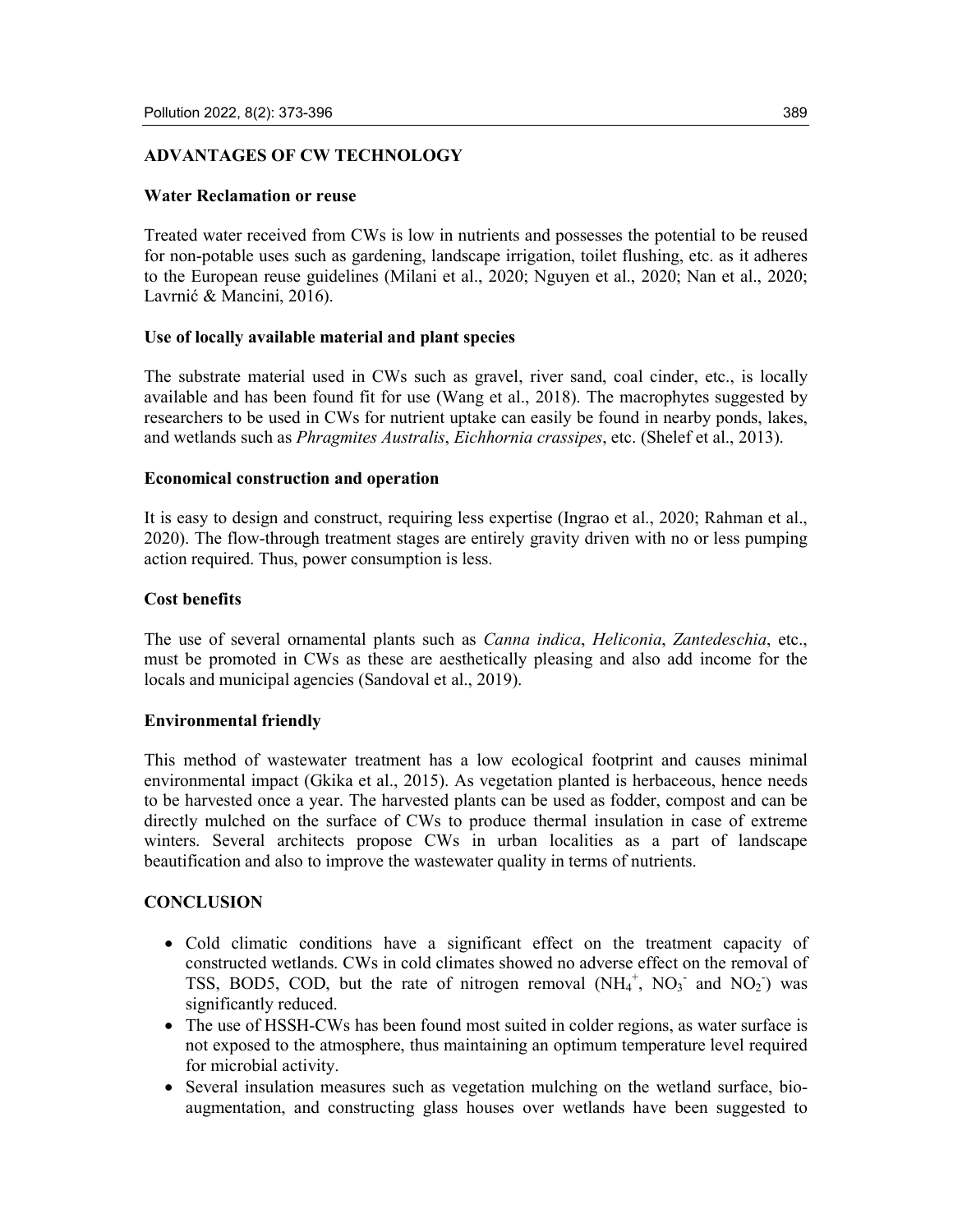# **ADVANTAGES OF CW TECHNOLOGY**

# **Water Reclamation or reuse**

Treated water received from CWs is low in nutrients and possesses the potential to be reused for non-potable uses such as gardening, landscape irrigation, toilet flushing, etc. as it adheres to the European reuse guidelines (Milani et al., 2020; Nguyen et al., 2020; Nan et al., 2020; Lavrnić & Mancini, 2016).

# **Use of locally available material and plant species**

The substrate material used in CWs such as gravel, river sand, coal cinder, etc., is locally available and has been found fit for use (Wang et al., 2018). The macrophytes suggested by researchers to be used in CWs for nutrient uptake can easily be found in nearby ponds, lakes, and wetlands such as *Phragmites Australis*, *Eichhornia crassipes*, etc. (Shelef et al., 2013).

# **Economical construction and operation**

It is easy to design and construct, requiring less expertise (Ingrao et al., 2020; Rahman et al., 2020). The flow-through treatment stages are entirely gravity driven with no or less pumping action required. Thus, power consumption is less.

# **Cost benefits**

The use of several ornamental plants such as *Canna indica*, *Heliconia*, *Zantedeschia*, etc., must be promoted in CWs as these are aesthetically pleasing and also add income for the locals and municipal agencies (Sandoval et al., 2019).

# **Environmental friendly**

This method of wastewater treatment has a low ecological footprint and causes minimal environmental impact (Gkika et al., 2015). As vegetation planted is herbaceous, hence needs to be harvested once a year. The harvested plants can be used as fodder, compost and can be directly mulched on the surface of CWs to produce thermal insulation in case of extreme winters. Several architects propose CWs in urban localities as a part of landscape beautification and also to improve the wastewater quality in terms of nutrients.

# **CONCLUSION**

- Cold climatic conditions have a significant effect on the treatment capacity of constructed wetlands. CWs in cold climates showed no adverse effect on the removal of TSS, BOD5, COD, but the rate of nitrogen removal  $(NH_4^+$ ,  $NO_3^-$  and  $NO_2^-$ ) was significantly reduced.
- The use of HSSH-CWs has been found most suited in colder regions, as water surface is not exposed to the atmosphere, thus maintaining an optimum temperature level required for microbial activity.
- Several insulation measures such as vegetation mulching on the wetland surface, bioaugmentation, and constructing glass houses over wetlands have been suggested to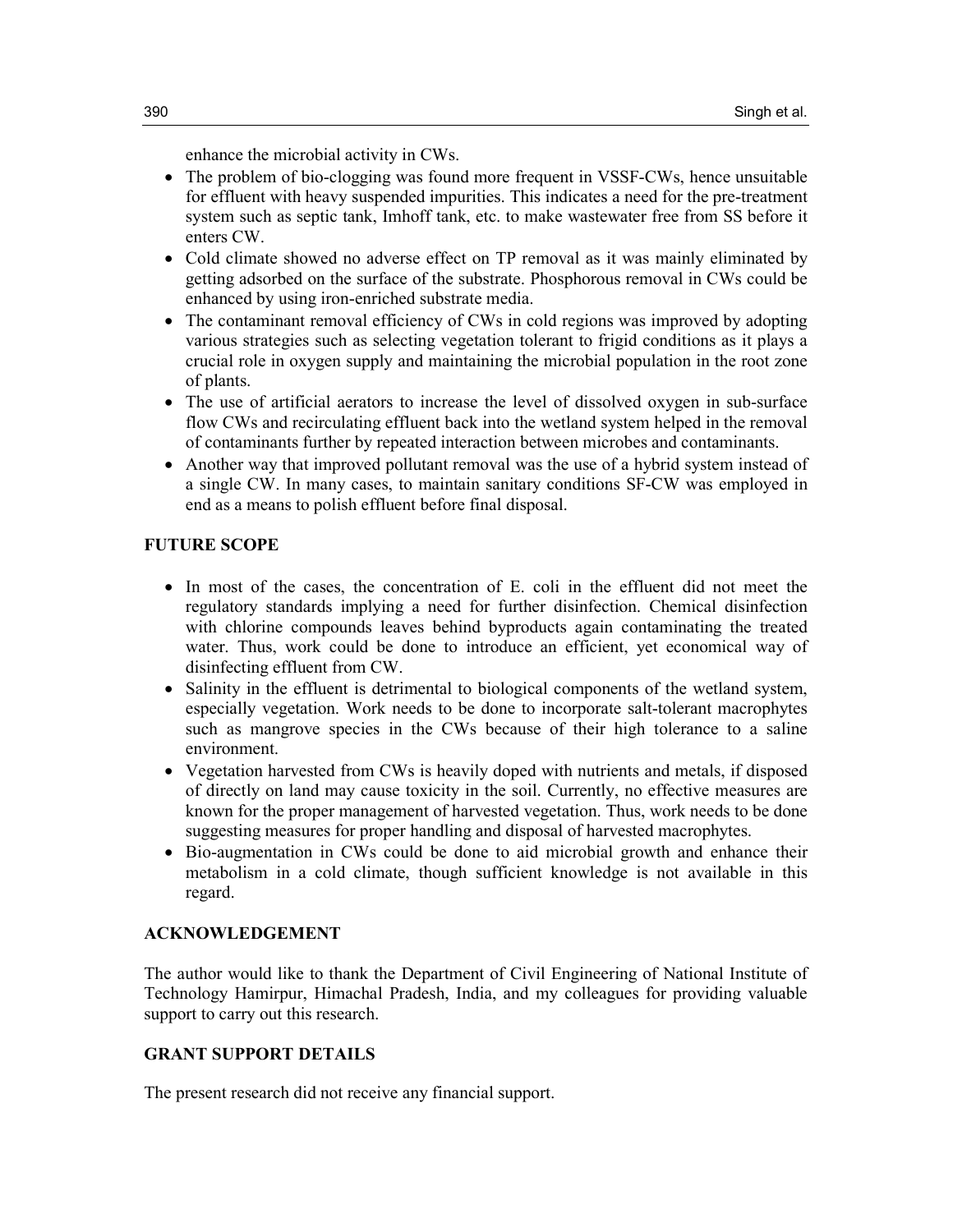enhance the microbial activity in CWs.

- The problem of bio-clogging was found more frequent in VSSF-CWs, hence unsuitable for effluent with heavy suspended impurities. This indicates a need for the pre-treatment system such as septic tank, Imhoff tank, etc. to make wastewater free from SS before it enters CW.
- Cold climate showed no adverse effect on TP removal as it was mainly eliminated by getting adsorbed on the surface of the substrate. Phosphorous removal in CWs could be enhanced by using iron-enriched substrate media.
- The contaminant removal efficiency of CWs in cold regions was improved by adopting various strategies such as selecting vegetation tolerant to frigid conditions as it plays a crucial role in oxygen supply and maintaining the microbial population in the root zone of plants.
- The use of artificial aerators to increase the level of dissolved oxygen in sub-surface flow CWs and recirculating effluent back into the wetland system helped in the removal of contaminants further by repeated interaction between microbes and contaminants.
- Another way that improved pollutant removal was the use of a hybrid system instead of a single CW. In many cases, to maintain sanitary conditions SF-CW was employed in end as a means to polish effluent before final disposal.

# **FUTURE SCOPE**

- In most of the cases, the concentration of E. coli in the effluent did not meet the regulatory standards implying a need for further disinfection. Chemical disinfection with chlorine compounds leaves behind byproducts again contaminating the treated water. Thus, work could be done to introduce an efficient, yet economical way of disinfecting effluent from CW.
- Salinity in the effluent is detrimental to biological components of the wetland system, especially vegetation. Work needs to be done to incorporate salt-tolerant macrophytes such as mangrove species in the CWs because of their high tolerance to a saline environment.
- Vegetation harvested from CWs is heavily doped with nutrients and metals, if disposed of directly on land may cause toxicity in the soil. Currently, no effective measures are known for the proper management of harvested vegetation. Thus, work needs to be done suggesting measures for proper handling and disposal of harvested macrophytes.
- Bio-augmentation in CWs could be done to aid microbial growth and enhance their metabolism in a cold climate, though sufficient knowledge is not available in this regard.

# **ACKNOWLEDGEMENT**

The author would like to thank the Department of Civil Engineering of National Institute of Technology Hamirpur, Himachal Pradesh, India, and my colleagues for providing valuable support to carry out this research.

# **GRANT SUPPORT DETAILS**

The present research did not receive any financial support.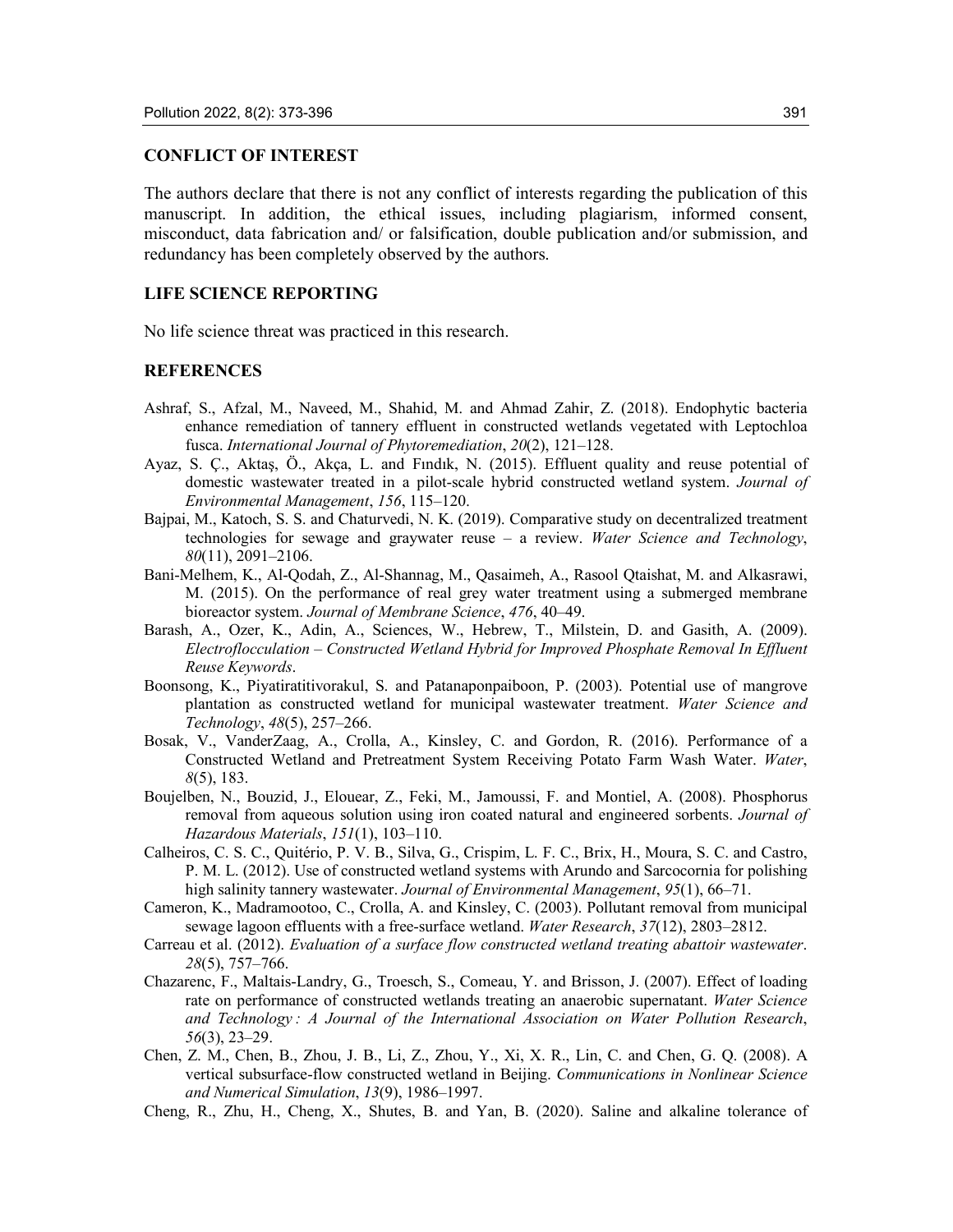#### **CONFLICT OF INTEREST**

The authors declare that there is not any conflict of interests regarding the publication of this manuscript. In addition, the ethical issues, including plagiarism, informed consent, misconduct, data fabrication and/ or falsification, double publication and/or submission, and redundancy has been completely observed by the authors.

# **LIFE SCIENCE REPORTING**

No life science threat was practiced in this research.

#### **REFERENCES**

- Ashraf, S., Afzal, M., Naveed, M., Shahid, M. and Ahmad Zahir, Z. (2018). Endophytic bacteria enhance remediation of tannery effluent in constructed wetlands vegetated with Leptochloa fusca. *International Journal of Phytoremediation*, *20*(2), 121–128.
- Ayaz, S. Ç., Aktaş, Ö., Akça, L. and Fındık, N. (2015). Effluent quality and reuse potential of domestic wastewater treated in a pilot-scale hybrid constructed wetland system. *Journal of Environmental Management*, *156*, 115–120.
- Bajpai, M., Katoch, S. S. and Chaturvedi, N. K. (2019). Comparative study on decentralized treatment technologies for sewage and graywater reuse – a review. *Water Science and Technology*, *80*(11), 2091–2106.
- Bani-Melhem, K., Al-Qodah, Z., Al-Shannag, M., Qasaimeh, A., Rasool Qtaishat, M. and Alkasrawi, M. (2015). On the performance of real grey water treatment using a submerged membrane bioreactor system. *Journal of Membrane Science*, *476*, 40–49.
- Barash, A., Ozer, K., Adin, A., Sciences, W., Hebrew, T., Milstein, D. and Gasith, A. (2009). *Electroflocculation – Constructed Wetland Hybrid for Improved Phosphate Removal In Effluent Reuse Keywords*.
- Boonsong, K., Piyatiratitivorakul, S. and Patanaponpaiboon, P. (2003). Potential use of mangrove plantation as constructed wetland for municipal wastewater treatment. *Water Science and Technology*, *48*(5), 257–266.
- Bosak, V., VanderZaag, A., Crolla, A., Kinsley, C. and Gordon, R. (2016). Performance of a Constructed Wetland and Pretreatment System Receiving Potato Farm Wash Water. *Water*, *8*(5), 183.
- Boujelben, N., Bouzid, J., Elouear, Z., Feki, M., Jamoussi, F. and Montiel, A. (2008). Phosphorus removal from aqueous solution using iron coated natural and engineered sorbents. *Journal of Hazardous Materials*, *151*(1), 103–110.
- Calheiros, C. S. C., Quitério, P. V. B., Silva, G., Crispim, L. F. C., Brix, H., Moura, S. C. and Castro, P. M. L. (2012). Use of constructed wetland systems with Arundo and Sarcocornia for polishing high salinity tannery wastewater. *Journal of Environmental Management*, *95*(1), 66–71.
- Cameron, K., Madramootoo, C., Crolla, A. and Kinsley, C. (2003). Pollutant removal from municipal sewage lagoon effluents with a free-surface wetland. *Water Research*, *37*(12), 2803–2812.
- Carreau et al. (2012). *Evaluation of a surface flow constructed wetland treating abattoir wastewater*. *28*(5), 757–766.
- Chazarenc, F., Maltais-Landry, G., Troesch, S., Comeau, Y. and Brisson, J. (2007). Effect of loading rate on performance of constructed wetlands treating an anaerobic supernatant. *Water Science and Technology : A Journal of the International Association on Water Pollution Research*, *56*(3), 23–29.
- Chen, Z. M., Chen, B., Zhou, J. B., Li, Z., Zhou, Y., Xi, X. R., Lin, C. and Chen, G. Q. (2008). A vertical subsurface-flow constructed wetland in Beijing. *Communications in Nonlinear Science and Numerical Simulation*, *13*(9), 1986–1997.
- Cheng, R., Zhu, H., Cheng, X., Shutes, B. and Yan, B. (2020). Saline and alkaline tolerance of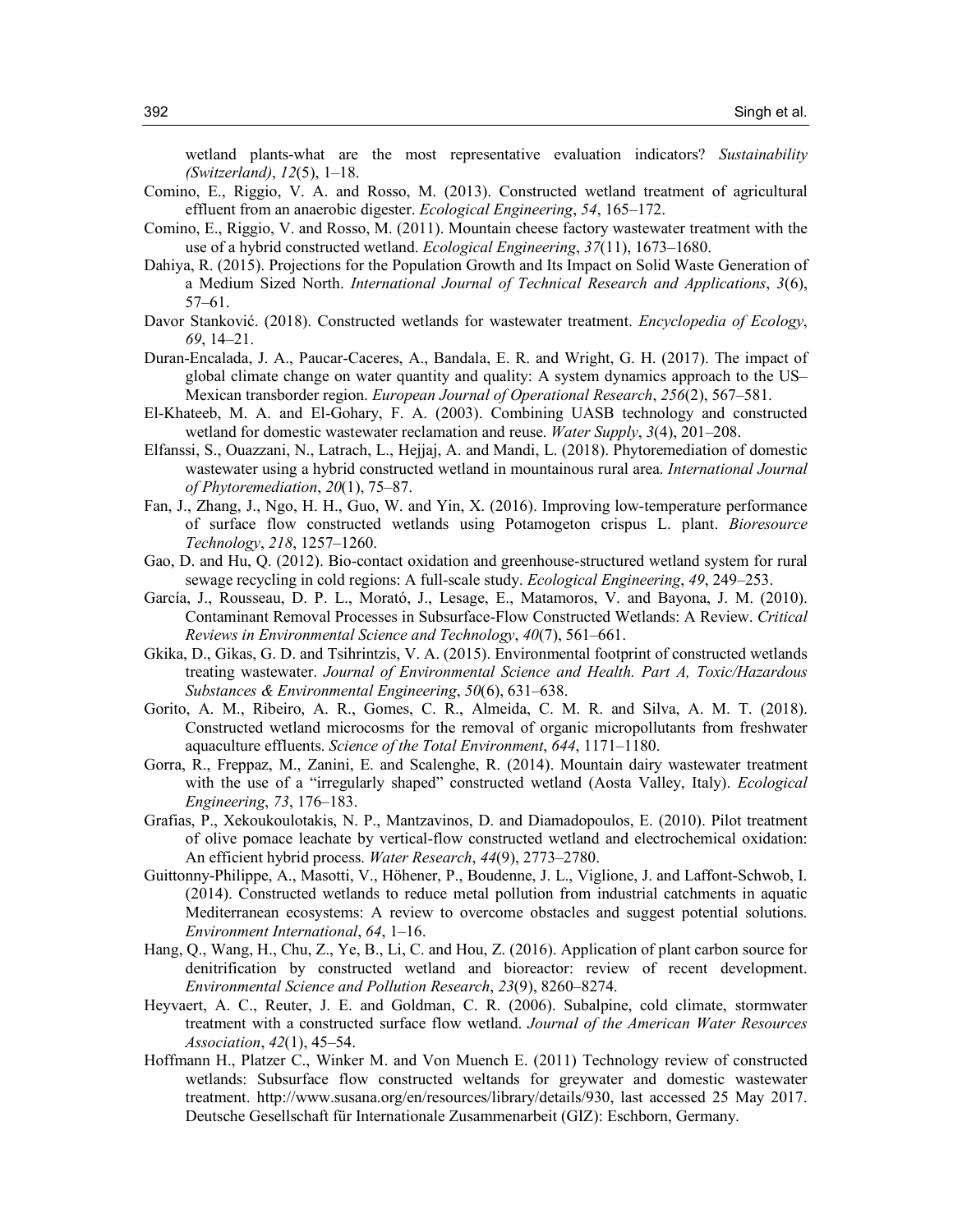wetland plants-what are the most representative evaluation indicators? *Sustainability (Switzerland)*, *12*(5), 1–18.

- Comino, E., Riggio, V. A. and Rosso, M. (2013). Constructed wetland treatment of agricultural effluent from an anaerobic digester. *Ecological Engineering*, *54*, 165–172.
- Comino, E., Riggio, V. and Rosso, M. (2011). Mountain cheese factory wastewater treatment with the use of a hybrid constructed wetland. *Ecological Engineering*, *37*(11), 1673–1680.
- Dahiya, R. (2015). Projections for the Population Growth and Its Impact on Solid Waste Generation of a Medium Sized North. *International Journal of Technical Research and Applications*, *3*(6), 57–61.
- Davor Stanković. (2018). Constructed wetlands for wastewater treatment. *Encyclopedia of Ecology*, *69*, 14–21.
- Duran-Encalada, J. A., Paucar-Caceres, A., Bandala, E. R. and Wright, G. H. (2017). The impact of global climate change on water quantity and quality: A system dynamics approach to the US– Mexican transborder region. *European Journal of Operational Research*, *256*(2), 567–581.
- El-Khateeb, M. A. and El-Gohary, F. A. (2003). Combining UASB technology and constructed wetland for domestic wastewater reclamation and reuse. *Water Supply*, *3*(4), 201–208.
- Elfanssi, S., Ouazzani, N., Latrach, L., Hejjaj, A. and Mandi, L. (2018). Phytoremediation of domestic wastewater using a hybrid constructed wetland in mountainous rural area. *International Journal of Phytoremediation*, *20*(1), 75–87.
- Fan, J., Zhang, J., Ngo, H. H., Guo, W. and Yin, X. (2016). Improving low-temperature performance of surface flow constructed wetlands using Potamogeton crispus L. plant. *Bioresource Technology*, *218*, 1257–1260.
- Gao, D. and Hu, Q. (2012). Bio-contact oxidation and greenhouse-structured wetland system for rural sewage recycling in cold regions: A full-scale study. *Ecological Engineering*, *49*, 249–253.
- García, J., Rousseau, D. P. L., Morató, J., Lesage, E., Matamoros, V. and Bayona, J. M. (2010). Contaminant Removal Processes in Subsurface-Flow Constructed Wetlands: A Review. *Critical Reviews in Environmental Science and Technology*, *40*(7), 561–661.
- Gkika, D., Gikas, G. D. and Tsihrintzis, V. A. (2015). Environmental footprint of constructed wetlands treating wastewater. *Journal of Environmental Science and Health. Part A, Toxic/Hazardous Substances & Environmental Engineering*, *50*(6), 631–638.
- Gorito, A. M., Ribeiro, A. R., Gomes, C. R., Almeida, C. M. R. and Silva, A. M. T. (2018). Constructed wetland microcosms for the removal of organic micropollutants from freshwater aquaculture effluents. *Science of the Total Environment*, *644*, 1171–1180.
- Gorra, R., Freppaz, M., Zanini, E. and Scalenghe, R. (2014). Mountain dairy wastewater treatment with the use of a "irregularly shaped" constructed wetland (Aosta Valley, Italy). *Ecological Engineering*, *73*, 176–183.
- Grafias, P., Xekoukoulotakis, N. P., Mantzavinos, D. and Diamadopoulos, E. (2010). Pilot treatment of olive pomace leachate by vertical-flow constructed wetland and electrochemical oxidation: An efficient hybrid process. *Water Research*, *44*(9), 2773–2780.
- Guittonny-Philippe, A., Masotti, V., Höhener, P., Boudenne, J. L., Viglione, J. and Laffont-Schwob, I. (2014). Constructed wetlands to reduce metal pollution from industrial catchments in aquatic Mediterranean ecosystems: A review to overcome obstacles and suggest potential solutions. *Environment International*, *64*, 1–16.
- Hang, Q., Wang, H., Chu, Z., Ye, B., Li, C. and Hou, Z. (2016). Application of plant carbon source for denitrification by constructed wetland and bioreactor: review of recent development. *Environmental Science and Pollution Research*, *23*(9), 8260–8274.
- Heyvaert, A. C., Reuter, J. E. and Goldman, C. R. (2006). Subalpine, cold climate, stormwater treatment with a constructed surface flow wetland. *Journal of the American Water Resources Association*, *42*(1), 45–54.
- Hoffmann H., Platzer C., Winker M. and Von Muench E. (2011) Technology review of constructed wetlands: Subsurface flow constructed weltands for greywater and domestic wastewater treatment. http://www.susana.org/en/resources/library/details/930, last accessed 25 May 2017. Deutsche Gesellschaft für Internationale Zusammenarbeit (GIZ): Eschborn, Germany.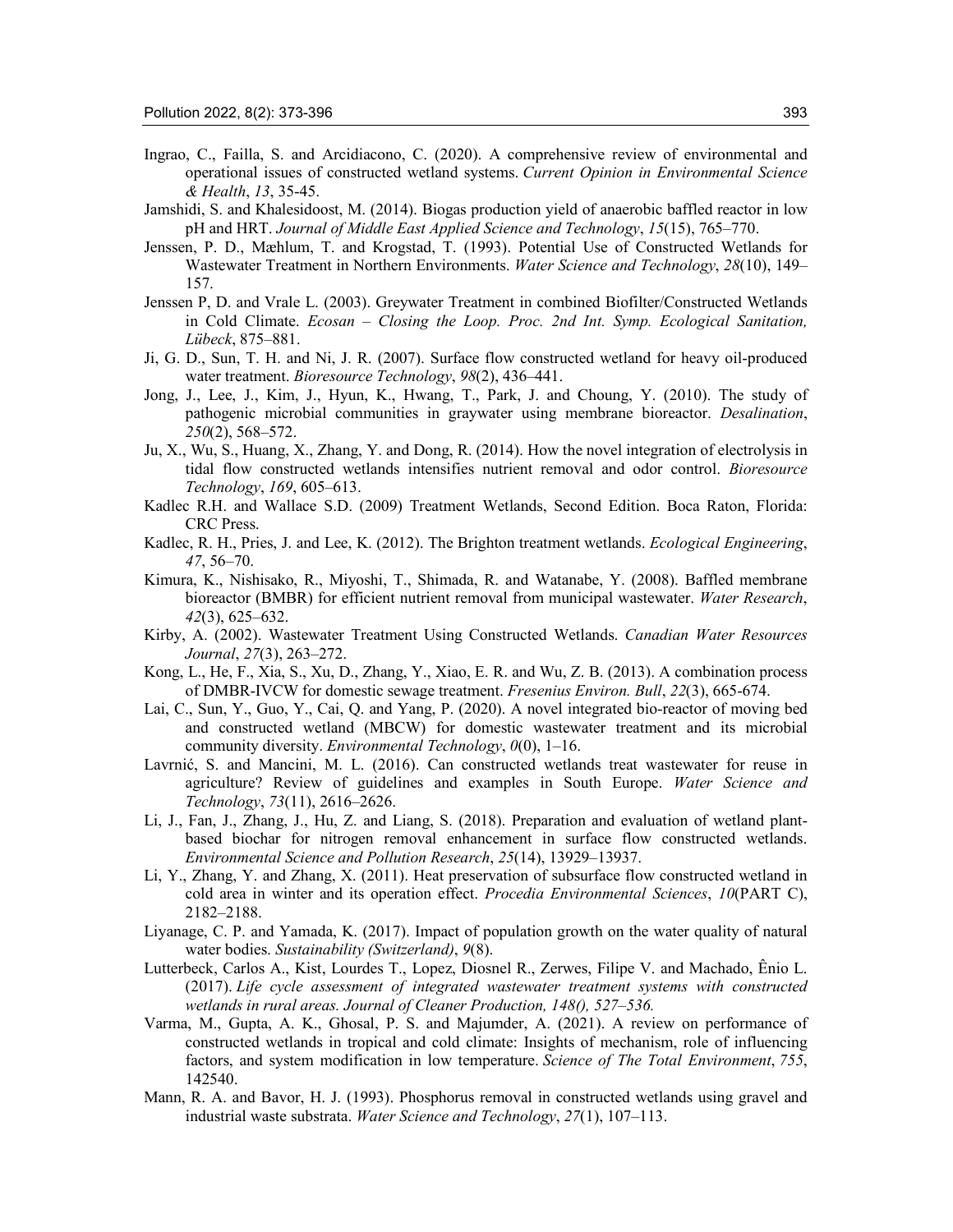- Ingrao, C., Failla, S. and Arcidiacono, C. (2020). A comprehensive review of environmental and operational issues of constructed wetland systems. *Current Opinion in Environmental Science & Health*, *13*, 35-45.
- Jamshidi, S. and Khalesidoost, M. (2014). Biogas production yield of anaerobic baffled reactor in low pH and HRT. *Journal of Middle East Applied Science and Technology*, *15*(15), 765–770.
- Jenssen, P. D., Mæhlum, T. and Krogstad, T. (1993). Potential Use of Constructed Wetlands for Wastewater Treatment in Northern Environments. *Water Science and Technology*, *28*(10), 149– 157.
- Jenssen P, D. and Vrale L. (2003). Greywater Treatment in combined Biofilter/Constructed Wetlands in Cold Climate. *Ecosan – Closing the Loop. Proc. 2nd Int. Symp. Ecological Sanitation, Lübeck*, 875–881.
- Ji, G. D., Sun, T. H. and Ni, J. R. (2007). Surface flow constructed wetland for heavy oil-produced water treatment. *Bioresource Technology*, *98*(2), 436–441.
- Jong, J., Lee, J., Kim, J., Hyun, K., Hwang, T., Park, J. and Choung, Y. (2010). The study of pathogenic microbial communities in graywater using membrane bioreactor. *Desalination*, *250*(2), 568–572.
- Ju, X., Wu, S., Huang, X., Zhang, Y. and Dong, R. (2014). How the novel integration of electrolysis in tidal flow constructed wetlands intensifies nutrient removal and odor control. *Bioresource Technology*, *169*, 605–613.
- Kadlec R.H. and Wallace S.D. (2009) Treatment Wetlands, Second Edition. Boca Raton, Florida: CRC Press.
- Kadlec, R. H., Pries, J. and Lee, K. (2012). The Brighton treatment wetlands. *Ecological Engineering*, *47*, 56–70.
- Kimura, K., Nishisako, R., Miyoshi, T., Shimada, R. and Watanabe, Y. (2008). Baffled membrane bioreactor (BMBR) for efficient nutrient removal from municipal wastewater. *Water Research*, *42*(3), 625–632.
- Kirby, A. (2002). Wastewater Treatment Using Constructed Wetlands. *Canadian Water Resources Journal*, *27*(3), 263–272.
- Kong, L., He, F., Xia, S., Xu, D., Zhang, Y., Xiao, E. R. and Wu, Z. B. (2013). A combination process of DMBR-IVCW for domestic sewage treatment. *Fresenius Environ. Bull*, *22*(3), 665-674.
- Lai, C., Sun, Y., Guo, Y., Cai, Q. and Yang, P. (2020). A novel integrated bio-reactor of moving bed and constructed wetland (MBCW) for domestic wastewater treatment and its microbial community diversity. *Environmental Technology*, *0*(0), 1–16.
- Lavrnić, S. and Mancini, M. L. (2016). Can constructed wetlands treat wastewater for reuse in agriculture? Review of guidelines and examples in South Europe. *Water Science and Technology*, *73*(11), 2616–2626.
- Li, J., Fan, J., Zhang, J., Hu, Z. and Liang, S. (2018). Preparation and evaluation of wetland plantbased biochar for nitrogen removal enhancement in surface flow constructed wetlands. *Environmental Science and Pollution Research*, *25*(14), 13929–13937.
- Li, Y., Zhang, Y. and Zhang, X. (2011). Heat preservation of subsurface flow constructed wetland in cold area in winter and its operation effect. *Procedia Environmental Sciences*, *10*(PART C), 2182–2188.
- Liyanage, C. P. and Yamada, K. (2017). Impact of population growth on the water quality of natural water bodies. *Sustainability (Switzerland)*, *9*(8).
- Lutterbeck, Carlos A., Kist, Lourdes T., Lopez, Diosnel R., Zerwes, Filipe V. and Machado, Ênio L. (2017). *Life cycle assessment of integrated wastewater treatment systems with constructed wetlands in rural areas. Journal of Cleaner Production, 148(), 527–536.*
- Varma, M., Gupta, A. K., Ghosal, P. S. and Majumder, A. (2021). A review on performance of constructed wetlands in tropical and cold climate: Insights of mechanism, role of influencing factors, and system modification in low temperature. *Science of The Total Environment*, *755*, 142540.
- Mann, R. A. and Bavor, H. J. (1993). Phosphorus removal in constructed wetlands using gravel and industrial waste substrata. *Water Science and Technology*, *27*(1), 107–113.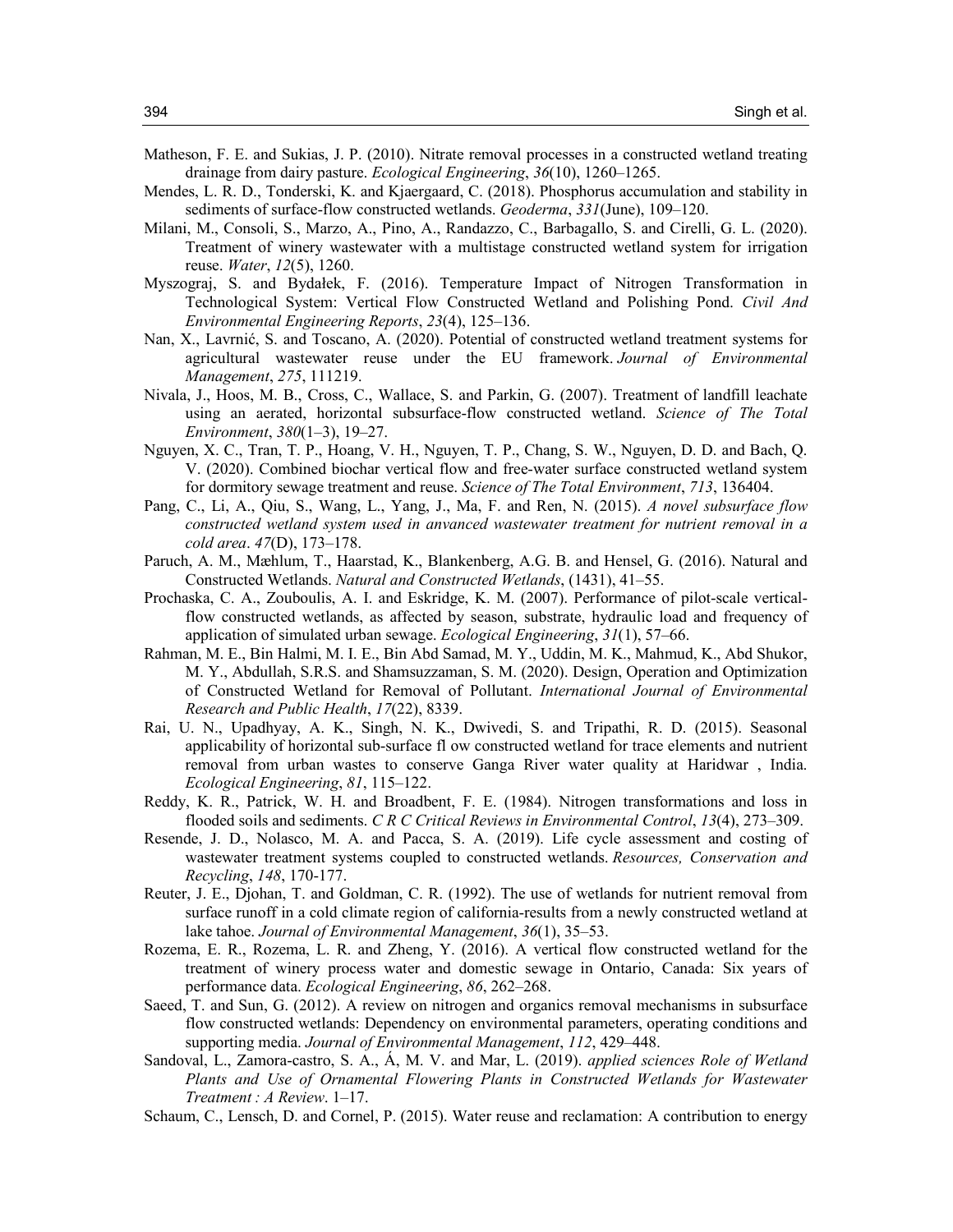- Matheson, F. E. and Sukias, J. P. (2010). Nitrate removal processes in a constructed wetland treating drainage from dairy pasture. *Ecological Engineering*, *36*(10), 1260–1265.
- Mendes, L. R. D., Tonderski, K. and Kjaergaard, C. (2018). Phosphorus accumulation and stability in sediments of surface-flow constructed wetlands. *Geoderma*, *331*(June), 109–120.
- Milani, M., Consoli, S., Marzo, A., Pino, A., Randazzo, C., Barbagallo, S. and Cirelli, G. L. (2020). Treatment of winery wastewater with a multistage constructed wetland system for irrigation reuse. *Water*, *12*(5), 1260.
- Myszograj, S. and Bydałek, F. (2016). Temperature Impact of Nitrogen Transformation in Technological System: Vertical Flow Constructed Wetland and Polishing Pond. *Civil And Environmental Engineering Reports*, *23*(4), 125–136.
- Nan, X., Lavrnić, S. and Toscano, A. (2020). Potential of constructed wetland treatment systems for agricultural wastewater reuse under the EU framework. *Journal of Environmental Management*, *275*, 111219.
- Nivala, J., Hoos, M. B., Cross, C., Wallace, S. and Parkin, G. (2007). Treatment of landfill leachate using an aerated, horizontal subsurface-flow constructed wetland. *Science of The Total Environment*, *380*(1–3), 19–27.
- Nguyen, X. C., Tran, T. P., Hoang, V. H., Nguyen, T. P., Chang, S. W., Nguyen, D. D. and Bach, Q. V. (2020). Combined biochar vertical flow and free-water surface constructed wetland system for dormitory sewage treatment and reuse. *Science of The Total Environment*, *713*, 136404.
- Pang, C., Li, A., Qiu, S., Wang, L., Yang, J., Ma, F. and Ren, N. (2015). *A novel subsurface flow constructed wetland system used in anvanced wastewater treatment for nutrient removal in a cold area*. *47*(D), 173–178.
- Paruch, A. M., Mæhlum, T., Haarstad, K., Blankenberg, A.G. B. and Hensel, G. (2016). Natural and Constructed Wetlands. *Natural and Constructed Wetlands*, (1431), 41–55.
- Prochaska, C. A., Zouboulis, A. I. and Eskridge, K. M. (2007). Performance of pilot-scale verticalflow constructed wetlands, as affected by season, substrate, hydraulic load and frequency of application of simulated urban sewage. *Ecological Engineering*, *31*(1), 57–66.
- Rahman, M. E., Bin Halmi, M. I. E., Bin Abd Samad, M. Y., Uddin, M. K., Mahmud, K., Abd Shukor, M. Y., Abdullah, S.R.S. and Shamsuzzaman, S. M. (2020). Design, Operation and Optimization of Constructed Wetland for Removal of Pollutant. *International Journal of Environmental Research and Public Health*, *17*(22), 8339.
- Rai, U. N., Upadhyay, A. K., Singh, N. K., Dwivedi, S. and Tripathi, R. D. (2015). Seasonal applicability of horizontal sub-surface fl ow constructed wetland for trace elements and nutrient removal from urban wastes to conserve Ganga River water quality at Haridwar , India. *Ecological Engineering*, *81*, 115–122.
- Reddy, K. R., Patrick, W. H. and Broadbent, F. E. (1984). Nitrogen transformations and loss in flooded soils and sediments. *C R C Critical Reviews in Environmental Control*, *13*(4), 273–309.
- Resende, J. D., Nolasco, M. A. and Pacca, S. A. (2019). Life cycle assessment and costing of wastewater treatment systems coupled to constructed wetlands. *Resources, Conservation and Recycling*, *148*, 170-177.
- Reuter, J. E., Djohan, T. and Goldman, C. R. (1992). The use of wetlands for nutrient removal from surface runoff in a cold climate region of california-results from a newly constructed wetland at lake tahoe. *Journal of Environmental Management*, *36*(1), 35–53.
- Rozema, E. R., Rozema, L. R. and Zheng, Y. (2016). A vertical flow constructed wetland for the treatment of winery process water and domestic sewage in Ontario, Canada: Six years of performance data. *Ecological Engineering*, *86*, 262–268.
- Saeed, T. and Sun, G. (2012). A review on nitrogen and organics removal mechanisms in subsurface flow constructed wetlands: Dependency on environmental parameters, operating conditions and supporting media. *Journal of Environmental Management*, *112*, 429–448.
- Sandoval, L., Zamora-castro, S. A., Á, M. V. and Mar, L. (2019). *applied sciences Role of Wetland Plants and Use of Ornamental Flowering Plants in Constructed Wetlands for Wastewater Treatment : A Review*. 1–17.
- Schaum, C., Lensch, D. and Cornel, P. (2015). Water reuse and reclamation: A contribution to energy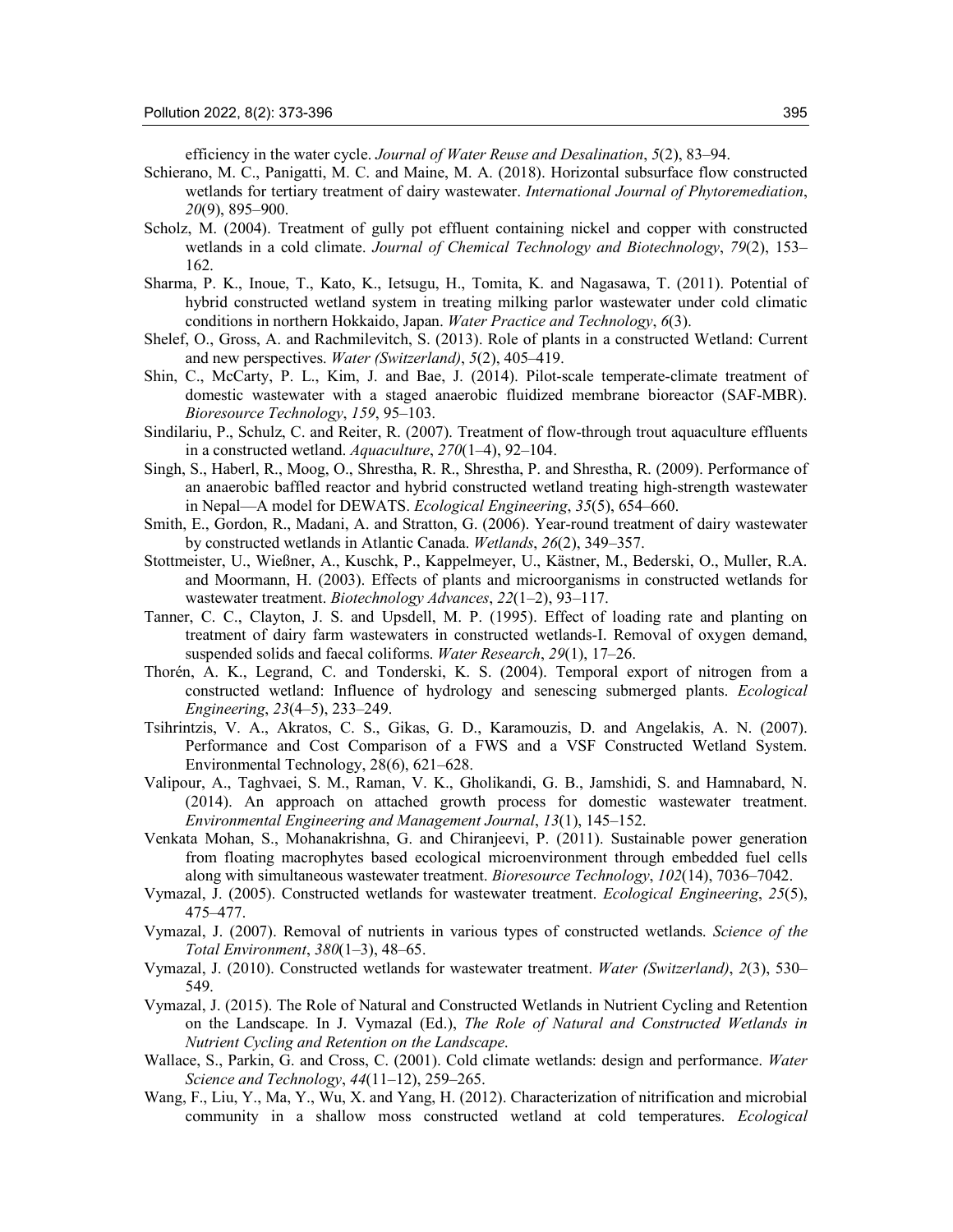efficiency in the water cycle. *Journal of Water Reuse and Desalination*, *5*(2), 83–94.

- Schierano, M. C., Panigatti, M. C. and Maine, M. A. (2018). Horizontal subsurface flow constructed wetlands for tertiary treatment of dairy wastewater. *International Journal of Phytoremediation*, *20*(9), 895–900.
- Scholz, M. (2004). Treatment of gully pot effluent containing nickel and copper with constructed wetlands in a cold climate. *Journal of Chemical Technology and Biotechnology*, *79*(2), 153– 162.
- Sharma, P. K., Inoue, T., Kato, K., Ietsugu, H., Tomita, K. and Nagasawa, T. (2011). Potential of hybrid constructed wetland system in treating milking parlor wastewater under cold climatic conditions in northern Hokkaido, Japan. *Water Practice and Technology*, *6*(3).
- Shelef, O., Gross, A. and Rachmilevitch, S. (2013). Role of plants in a constructed Wetland: Current and new perspectives. *Water (Switzerland)*, *5*(2), 405–419.
- Shin, C., McCarty, P. L., Kim, J. and Bae, J. (2014). Pilot-scale temperate-climate treatment of domestic wastewater with a staged anaerobic fluidized membrane bioreactor (SAF-MBR). *Bioresource Technology*, *159*, 95–103.
- Sindilariu, P., Schulz, C. and Reiter, R. (2007). Treatment of flow-through trout aquaculture effluents in a constructed wetland. *Aquaculture*, *270*(1–4), 92–104.
- Singh, S., Haberl, R., Moog, O., Shrestha, R. R., Shrestha, P. and Shrestha, R. (2009). Performance of an anaerobic baffled reactor and hybrid constructed wetland treating high-strength wastewater in Nepal—A model for DEWATS. *Ecological Engineering*, *35*(5), 654–660.
- Smith, E., Gordon, R., Madani, A. and Stratton, G. (2006). Year-round treatment of dairy wastewater by constructed wetlands in Atlantic Canada. *Wetlands*, *26*(2), 349–357.
- Stottmeister, U., Wießner, A., Kuschk, P., Kappelmeyer, U., Kästner, M., Bederski, O., Muller, R.A. and Moormann, H. (2003). Effects of plants and microorganisms in constructed wetlands for wastewater treatment. *Biotechnology Advances*, *22*(1–2), 93–117.
- Tanner, C. C., Clayton, J. S. and Upsdell, M. P. (1995). Effect of loading rate and planting on treatment of dairy farm wastewaters in constructed wetlands-I. Removal of oxygen demand, suspended solids and faecal coliforms. *Water Research*, *29*(1), 17–26.
- Thorén, A. K., Legrand, C. and Tonderski, K. S. (2004). Temporal export of nitrogen from a constructed wetland: Influence of hydrology and senescing submerged plants. *Ecological Engineering*, *23*(4–5), 233–249.
- Tsihrintzis, V. A., Akratos, C. S., Gikas, G. D., Karamouzis, D. and Angelakis, A. N. (2007). Performance and Cost Comparison of a FWS and a VSF Constructed Wetland System. Environmental Technology, 28(6), 621–628.
- Valipour, A., Taghvaei, S. M., Raman, V. K., Gholikandi, G. B., Jamshidi, S. and Hamnabard, N. (2014). An approach on attached growth process for domestic wastewater treatment. *Environmental Engineering and Management Journal*, *13*(1), 145–152.
- Venkata Mohan, S., Mohanakrishna, G. and Chiranjeevi, P. (2011). Sustainable power generation from floating macrophytes based ecological microenvironment through embedded fuel cells along with simultaneous wastewater treatment. *Bioresource Technology*, *102*(14), 7036–7042.
- Vymazal, J. (2005). Constructed wetlands for wastewater treatment. *Ecological Engineering*, *25*(5), 475–477.
- Vymazal, J. (2007). Removal of nutrients in various types of constructed wetlands. *Science of the Total Environment*, *380*(1–3), 48–65.
- Vymazal, J. (2010). Constructed wetlands for wastewater treatment. *Water (Switzerland)*, *2*(3), 530– 549.
- Vymazal, J. (2015). The Role of Natural and Constructed Wetlands in Nutrient Cycling and Retention on the Landscape. In J. Vymazal (Ed.), *The Role of Natural and Constructed Wetlands in Nutrient Cycling and Retention on the Landscape*.
- Wallace, S., Parkin, G. and Cross, C. (2001). Cold climate wetlands: design and performance. *Water Science and Technology*, *44*(11–12), 259–265.
- Wang, F., Liu, Y., Ma, Y., Wu, X. and Yang, H. (2012). Characterization of nitrification and microbial community in a shallow moss constructed wetland at cold temperatures. *Ecological*